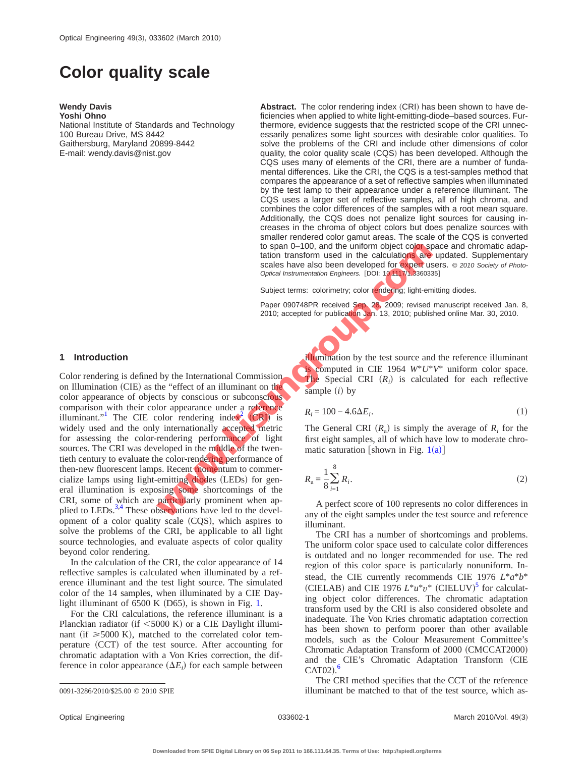# <span id="page-0-0"></span>**Color quality scale**

**Wendy Davis Yoshi Ohno** National Institute of Standards and Technology 100 Bureau Drive, MS 8442 Gaithersburg, Maryland 20899-8442 E-mail: wendy.davis@nist.gov

**Abstract.** The color rendering index (CRI) has been shown to have deficiencies when applied to white light-emitting-diode–based sources. Furthermore, evidence suggests that the restricted scope of the CRI unnecessarily penalizes some light sources with desirable color qualities. To solve the problems of the CRI and include other dimensions of color quality, the color quality scale (CQS) has been developed. Although the CQS uses many of elements of the CRI, there are a number of fundamental differences. Like the CRI, the CQS is a test-samples method that compares the appearance of a set of reflective samples when illuminated by the test lamp to their appearance under a reference illuminant. The CQS uses a larger set of reflective samples, all of high chroma, and combines the color differences of the samples with a root mean square. Additionally, the CQS does not penalize light sources for causing increases in the chroma of object colors but does penalize sources with smaller rendered color gamut areas. The scale of the CQS is converted to span 0–100, and the uniform object color space and chromatic adaptation transform used in the calculations are updated. Supplementary scales have also been developed for expert users. © *2010 Society of Photo-Optical Instrumentation Engineers.* [DOI: 10.1117/1.3360335]

Subject terms: colorimetry; color rendering; light-emitting diodes.

Paper 090748PR received Sep. 28, 2009; revised manuscript received Jan. 8, 2010; accepted for publication Jan. 13, 2010; published online Mar. 30, 2010.

## **1 Introduction**

Color rendering is defined by the International Commission on Illumination (CIE) as the "effect of an illuminant on the color appearance of objects by conscious or subconscious comparison with their color appearance under a reference illuminant."<sup>1</sup> The CIE color rendering index<sup>2</sup> (CRI) is widely used and the only internationally accepted metric for assessing the color-rendering performance of light sources. The CRI was developed in the middle of the twentieth century to evaluate the color-rendering performance of then-new fluorescent lamps. Recent momentum to commercialize lamps using light-emitting diodes (LEDs) for general illumination is exposing some shortcomings of the CRI, some of which are particularly prominent when ap-plied to LEDs.<sup>[3,4](#page-14-0)</sup> These observations have led to the development of a color quality scale (CQS), which aspires to solve the problems of the CRI, be applicable to all light source technologies, and evaluate aspects of color quality beyond color rendering. **Example 10**<br> **We are the solel contrastorm** used [i](#page-14-0)n the calculations are<br>
scales have also been developed for **example the summer of the summarity**<br> *Colical Instrumentation Engineers*. [DOI: 10 flV, 8:8033<br>
Subject term

In the calculation of the CRI, the color appearance of 14 reflective samples is calculated when illuminated by a reference illuminant and the test light source. The simulated color of the 14 samples, when illuminated by a CIE Day-light illuminant of 6500 K (D65), is shown in Fig. [1.](#page-1-0)

For the CRI calculations, the reference illuminant is a Planckian radiator (if <5000 K) or a CIE Daylight illuminant (if  $\geq 5000$  K), matched to the correlated color temperature (CCT) of the test source. After accounting for chromatic adaptation with a Von Kries correction, the difference in color appearance  $(\Delta E_i)$  for each sample between

$$
R_i = 100 - 4.6\Delta E_i.
$$
 (1)

The General CRI  $(R_a)$  is simply the average of  $R_i$  for the first eight samples, all of which have low to moderate chromatic saturation [shown in Fig.  $1(a)$  $1(a)$ ]

$$
R_{\rm a} = \frac{1}{8} \sum_{i=1}^{8} R_i.
$$
 (2)

A perfect score of 100 represents no color differences in any of the eight samples under the test source and reference illuminant.

The CRI has a number of shortcomings and problems. The uniform color space used to calculate color differences is outdated and no longer recommended for use. The red region of this color space is particularly nonuniform. Instead, the CIE currently recommends CIE 1976 *L*\**a*\**b*\* (CIELAB) and CIE 1976  $L^*u^*v^*$  (CIELUV)<sup>[5](#page-14-0)</sup> for calculating object color differences. The chromatic adaptation transform used by the CRI is also considered obsolete and inadequate. The Von Kries chromatic adaptation correction has been shown to perform poorer than other available models, such as the Colour Measurement Committee's Chromatic Adaptation Transform of 2000 (CMCCAT2000) and the CIE's Chromatic Adaptation Transform CIE  $CAT02).<sup>6</sup>$  $CAT02).<sup>6</sup>$  $CAT02).<sup>6</sup>$ 

The CRI method specifies that the CCT of the reference 0091-3286/2010/\$25.00 © 2010 SPIE illuminant be matched to that of the test source, which as-

illumination by the test source and the reference illuminant is computed in CIE 1964 *W*\**U*\**V*\* uniform color space. The Special CRI  $(R_i)$  is calculated for each reflective sample (*i*) by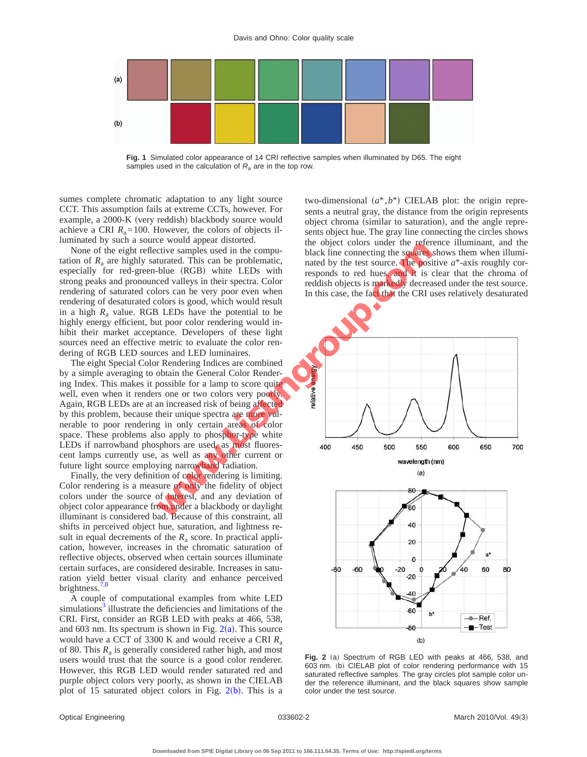<span id="page-1-0"></span>

**Fig. 1** Simulated color appearance of 14 CRI reflective samples when illuminated by D65. The eight samples used in the calculation of  $R<sub>a</sub>$  are in the top row.

sumes complete chromatic adaptation to any light source CCT. This assumption fails at extreme CCTs, however. For example, a 2000-K (very reddish) blackbody source would achieve a CRI  $R_a = 100$ . However, the colors of objects illuminated by such a source would appear distorted.

None of the eight reflective samples used in the computation of  $R_a$  are highly saturated. This can be problematic, especially for red-green-blue (RGB) white LEDs with strong peaks and pronounced valleys in their spectra. Color rendering of saturated colors can be very poor even when rendering of desaturated colors is good, which would result in a high  $R_a$  value. RGB LEDs have the potential to be highly energy efficient, but poor color rendering would inhibit their market acceptance. Developers of these light sources need an effective metric to evaluate the color rendering of RGB LED sources and LED luminaires.

The eight Special Color Rendering Indices are combined by a simple averaging to obtain the General Color Rendering Index. This makes it possible for a lamp to score quite well, even when it renders one or two colors very poorly. Again, RGB LEDs are at an increased risk of being affected by this problem, because their unique spectra are more vulnerable to poor rendering in only certain areas of color space. These problems also apply to phosphor-type white LEDs if narrowband phosphors are used, as most fluorescent lamps currently use, as well as any other current or future light source employing narrowband radiation.

Finally, the very definition of color rendering is limiting. Color rendering is a measure of only the fidelity of object colors under the source of interest, and any deviation of object color appearance from under a blackbody or daylight illuminant is considered bad. Because of this constraint, all shifts in perceived object hue, saturation, and lightness result in equal decrements of the  $R_a$  score. In practical application, however, increases in the chromatic saturation of reflective objects, observed when certain sources illuminate certain surfaces, are considered desirable. Increases in saturation yield better visual clarity and enhance perceived brightness.<sup>[7,8](#page-14-0)</sup>

A couple of computational examples from white LED  $simulations<sup>3</sup>$  illustrate the deficiencies and limitations of the CRI. First, consider an RGB LED with peaks at 466, 538, and 603 nm. Its spectrum is shown in Fig.  $2(a)$ . This source would have a CCT of 3300 K and would receive a CRI *R*<sup>a</sup> of 80. This  $R_a$  is generally considered rather high, and most users would trust that the source is a good color renderer. However, this RGB LED would render saturated red and purple object colors very poorly, as shown in the CIELAB plot of 15 saturated object colors in Fig. 2(b). This is a

two-dimensional  $(a^*, b^*)$  CIELAB plot: the origin represents a neutral gray, the distance from the origin represents object chroma (similar to saturation), and the angle represents object hue. The gray line connecting the circles shows the object colors under the reference illuminant, and the black line connecting the squares shows them when illuminated by the test source. The positive *a*\*-axis roughly corresponds to red hues, and it is clear that the chroma of reddish objects is markedly decreased under the test source. In this case, the fact that the CRI uses relatively desaturated



**Fig. 2** (a) Spectrum of RGB LED with peaks at 466, 538, and 603 nm. (b) CIELAB plot of color rendering performance with 15 saturated reflective samples. The gray circles plot sample color under the reference illuminant, and the black squares show sample color under the test source.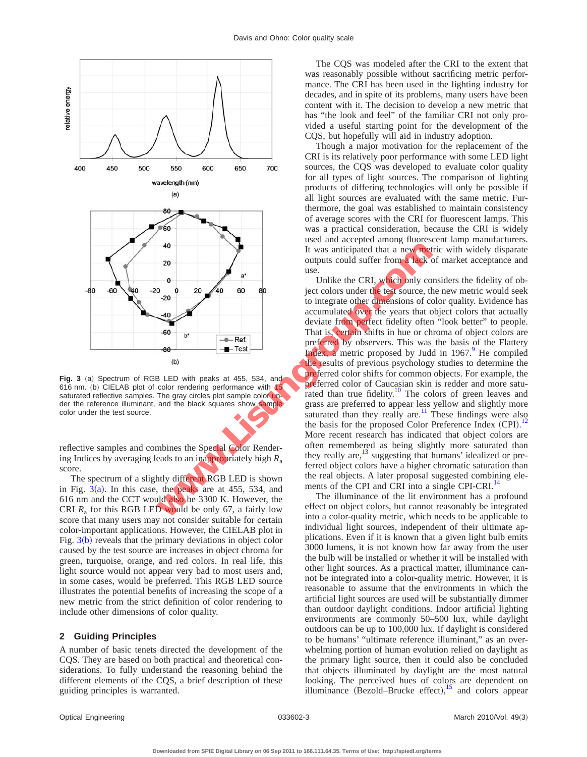<span id="page-2-0"></span>

**Fig. 3** (a) Spectrum of RGB LED with peaks at 455, 534, and 616 nm. (b) CIELAB plot of color rendering performance with 15 saturated reflective samples. The gray circles plot sample color under the reference illuminant, and the black squares show sample color under the test source.

reflective samples and combines the Special Color Rendering Indices by averaging leads to an inappropriately high *R*<sup>a</sup> score.

The spectrum of a slightly different RGB LED is shown in Fig.  $3(a)$ . In this case, the peaks are at 455, 534, and 616 nm and the CCT would also be 3300 K. However, the CRI  $R_a$  for this RGB LED would be only 67, a fairly low score that many users may not consider suitable for certain color-important applications. However, the CIELAB plot in Fig.  $3(b)$  reveals that the primary deviations in object color caused by the test source are increases in object chroma for green, turquoise, orange, and red colors. In real life, this light source would not appear very bad to most users and, in some cases, would be preferred. This RGB LED source illustrates the potential benefits of increasing the scope of a new metric from the strict definition of color rendering to include other dimensions of color quality.

## **2 Guiding Principles**

A number of basic tenets directed the development of the CQS. They are based on both practical and theoretical considerations. To fully understand the reasoning behind the different elements of the CQS, a brief description of these guiding principles is warranted.

The CQS was modeled after the CRI to the extent that was reasonably possible without sacrificing metric performance. The CRI has been used in the lighting industry for decades, and in spite of its problems, many users have been content with it. The decision to develop a new metric that has "the look and feel" of the familiar CRI not only provided a useful starting point for the development of the CQS, but hopefully will aid in industry adoption.

Though a major motivation for the replacement of the CRI is its relatively poor performance with some LED light sources, the CQS was developed to evaluate color quality for all types of light sources. The comparison of lighting products of differing technologies will only be possible if all light sources are evaluated with the same metric. Furthermore, the goal was established to maintain consistency of average scores with the CRI for fluorescent lamps. This was a practical consideration, because the CRI is widely used and accepted among fluorescent lamp manufacturers. It was anticipated that a new metric with widely disparate outputs could suffer from a lack of market acceptance and use.

Unlike the CRI, which only considers the fidelity of object colors under the test source, the new metric would seek to integrate other dimensions of color quality. Evidence has accumulated over the years that object colors that actually deviate from perfect fidelity often "look better" to people. That is, certain shifts in hue or chroma of object colors are preferred by observers. This was the basis of the Flattery Index, a metric proposed by Judd in  $1967<sup>9</sup>$  He compiled the results of previous psychology studies to determine the preferred color shifts for common objects. For example, the preferred color of Caucasian skin is redder and more saturated than true fidelity.<sup>10</sup> The colors of green leaves and grass are preferred to appear less yellow and slightly more saturated than they really are.<sup>11</sup> These findings were also the basis for the proposed Color Preference Index (CPI).<sup>[12](#page-14-0)</sup> More recent research has indicated that object colors are often remembered as being slightly more saturated than they really are, $^{13}$  suggesting that humans' idealized or preferred object colors have a higher chromatic saturation than the real objects. A later proposal suggested combining elements of the CPI and CRI into a single CPI-CRI.<sup>14</sup> **EV** with the CH, which only to the contract that a new mean of the contract of the south of the contract term of the south of the south of the south of the south of the south of the south of the south perfect of the sout

The illuminance of the lit environment has a profound effect on object colors, but cannot reasonably be integrated into a color-quality metric, which needs to be applicable to individual light sources, independent of their ultimate applications. Even if it is known that a given light bulb emits 3000 lumens, it is not known how far away from the user the bulb will be installed or whether it will be installed with other light sources. As a practical matter, illuminance cannot be integrated into a color-quality metric. However, it is reasonable to assume that the environments in which the artificial light sources are used will be substantially dimmer than outdoor daylight conditions. Indoor artificial lighting environments are commonly 50–500 lux, while daylight outdoors can be up to 100,000 lux. If daylight is considered to be humans' "ultimate reference illuminant," as an overwhelming portion of human evolution relied on daylight as the primary light source, then it could also be concluded that objects illuminated by daylight are the most natural looking. The perceived hues of colors are dependent on illuminance (Bezold–Brucke effect), $15$  and colors appear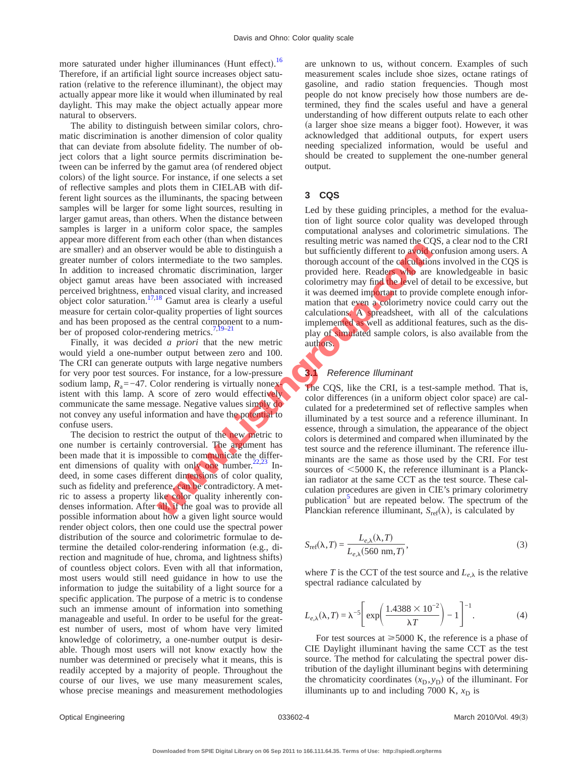more saturated under higher illuminances (Hunt effect).<sup>[16](#page-14-0)</sup> Therefore, if an artificial light source increases object saturation (relative to the reference illuminant), the object may actually appear more like it would when illuminated by real daylight. This may make the object actually appear more natural to observers.

The ability to distinguish between similar colors, chromatic discrimination is another dimension of color quality that can deviate from absolute fidelity. The number of object colors that a light source permits discrimination between can be inferred by the gamut area (of rendered object) colors) of the light source. For instance, if one selects a set of reflective samples and plots them in CIELAB with different light sources as the illuminants, the spacing between samples will be larger for some light sources, resulting in larger gamut areas, than others. When the distance between samples is larger in a uniform color space, the samples appear more different from each other (than when distances are smaller) and an observer would be able to distinguish a greater number of colors intermediate to the two samples. In addition to increased chromatic discrimination, larger object gamut areas have been associated with increased perceived brightness, enhanced visual clarity, and increased object color saturation.<sup>17,18</sup> Gamut area is clearly a useful measure for certain color-quality properties of light sources and has been proposed as the central component to a number of proposed color-rendering metrics.<sup>7,19–2</sup>

Finally, it was decided *a priori* that the new metric would yield a one-number output between zero and 100. The CRI can generate outputs with large negative numbers for very poor test sources. For instance, for a low-pressure sodium lamp, *R*<sub>a</sub>=−47. Color rendering is virtually nonexistent with this lamp. A score of zero would effectively communicate the same message. Negative values simply do not convey any useful information and have the potential to confuse users.

The decision to restrict the output of the new metric to one number is certainly controversial. The argument has been made that it is impossible to communicate the different dimensions of quality with only one number.<sup>22,23</sup> Indeed, in some cases different dimensions of color quality, such as fidelity and preference, can be contradictory. A metric to assess a property like color quality inherently condenses information. After all, if the goal was to provide all possible information about how a given light source would render object colors, then one could use the spectral power distribution of the source and colorimetric formulae to determine the detailed color-rendering information (e.g., direction and magnitude of hue, chroma, and lightness shifts) of countless object colors. Even with all that information, most users would still need guidance in how to use the information to judge the suitability of a light source for a specific application. The purpose of a metric is to condense such an immense amount of information into something manageable and useful. In order to be useful for the greatest number of users, most of whom have very limited knowledge of colorimetry, a one-number output is desirable. Though most users will not know exactly how the number was determined or precisely what it means, this is readily accepted by a majority of people. Throughout the course of our lives, we use many measurement scales, whose precise meanings and measurement methodologies are unknown to us, without concern. Examples of such measurement scales include shoe sizes, octane ratings of gasoline, and radio station frequencies. Though most people do not know precisely how those numbers are determined, they find the scales useful and have a general understanding of how different outputs relate to each other (a larger shoe size means a bigger foot). However, it was acknowledged that additional outputs, for expert users needing specialized information, would be useful and should be created to supplement the one-number general output.

## **3 CQS**

Led by these guiding principles, a method for the evaluation of light source color quality was developed through computational analyses and colorimetric simulations. The resulting metric was named the CQS, a clear nod to the CRI but sufficiently different to avoid confusion among users. A thorough account of the calculations involved in the CQS is provided here. Readers who are knowledgeable in basic colorimetry may find the level of detail to be excessive, but it was deemed important to provide complete enough information that even a colorimetry novice could carry out the calculations. A spreadsheet, with all of the calculations implemented as well as additional features, such as the display of simulated sample colors, is also available from the authors.

# **3.1** *Reference Illuminant*

The CQS, like the CRI, is a test-sample method. That is, color differences (in a uniform object color space) are calculated for a predetermined set of reflective samples when illuminated by a test source and a reference illuminant. In essence, through a simulation, the appearance of the object colors is determined and compared when illuminated by the test source and the reference illuminant. The reference illuminants are the same as those used by the CRI. For test sources of  $\leq 5000$  K, the reference illuminant is a Planckian radiator at the same CCT as the test source. These calculation procedures are given in CIE's primary colorimetry publication<sup>3</sup> but are repeated below. The spectrum of the Planckian reference illuminant,  $S_{\text{ref}}(\lambda)$ , is calculated by We would a the to assume a but sufficiently different to **avoid**<br>
intermediate to the two samples.<br>
chromatic discrimination, larger<br>
are provided here. Readers who are<br>
are been associated with increased<br>
is denoted it wa

$$
S_{\text{ref}}(\lambda, T) = \frac{L_{e,\lambda}(\lambda, T)}{L_{e,\lambda}(560 \text{ nm}, T)},
$$
\n(3)

where *T* is the CCT of the test source and  $L_{e,\lambda}$  is the relative spectral radiance calculated by

$$
L_{e,\lambda}(\lambda,T) = \lambda^{-5} \Bigg[ \exp\bigg( \frac{1.4388 \times 10^{-2}}{\lambda T} \bigg) - 1 \Bigg]^{-1}.
$$
 (4)

For test sources at  $\geq 5000$  K, the reference is a phase of CIE Daylight illuminant having the same CCT as the test source. The method for calculating the spectral power distribution of the daylight illuminant begins with determining the chromaticity coordinates  $(x_D, y_D)$  of the illuminant. For illuminants up to and including 7000 K,  $x_D$  is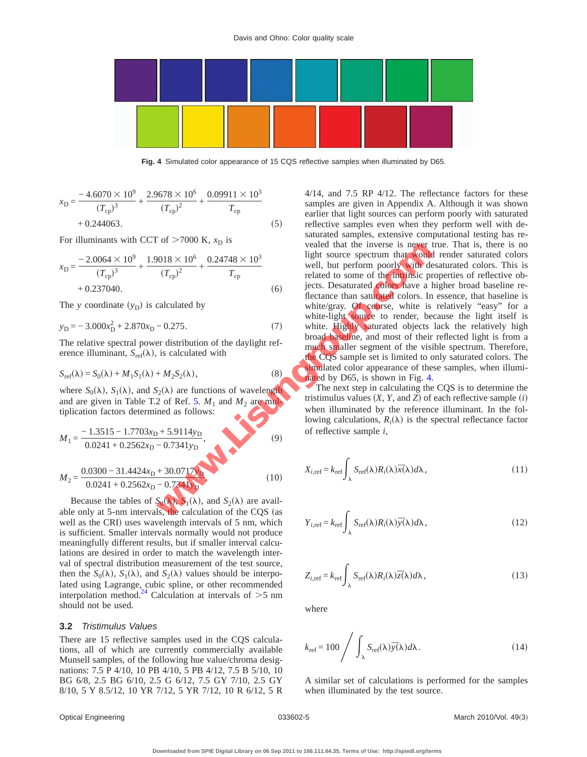

**Fig. 4** Simulated color appearance of 15 CQS reflective samples when illuminated by D65.

$$
x_{\rm D} = \frac{-4.6070 \times 10^9}{(T_{\rm cp})^3} + \frac{2.9678 \times 10^6}{(T_{\rm cp})^2} + \frac{0.09911 \times 10^3}{T_{\rm cp}} + 0.244063.
$$
 (5)

For illuminants with CCT of  $>7000$  K,  $x_D$  is

$$
x_{\rm D} = \frac{-2.0064 \times 10^9}{(T_{\rm cp})^3} + \frac{1.9018 \times 10^6}{(T_{\rm cp})^2} + \frac{0.24748 \times 10^3}{T_{\rm cp}} + 0.237040.
$$
 (6)

The *y* coordinate  $(y_D)$  is calculated by

$$
y_{\rm D} = -3.000x_{\rm D}^2 + 2.870x_{\rm D} - 0.275. \tag{7}
$$

The relative spectral power distribution of the daylight reference illuminant,  $S_{\text{ref}}(\lambda)$ , is calculated with

$$
S_{\rm ref}(\lambda) = S_0(\lambda) + M_1 S_1(\lambda) + M_2 S_2(\lambda), \qquad (8)
$$

where  $S_0(\lambda)$ ,  $S_1(\lambda)$ , and  $S_2(\lambda)$  are functions of wavelength and are given in Table T.2 of Ref. 5.  $M_1$  and  $M_2$  are multiplication factors determined as follows:

$$
M_1 = \frac{-1.3515 - 1.7703x_D + 5.9114y_D}{0.0241 + 0.2562x_D - 0.7341y_D},
$$
  
\n
$$
M_2 = \frac{0.0300 - 31.4424x_D + 30.0717y_D}{0.0241 + 0.2562x_D - 0.7341y_D}
$$
\n(10)

Because the tables of  $S_0(\lambda)$ ,  $S_1(\lambda)$ , and  $S_2(\lambda)$  are available only at 5-nm intervals, the calculation of the CQS (as well as the CRI) uses wavelength intervals of 5 nm, which is sufficient. Smaller intervals normally would not produce meaningfully different results, but if smaller interval calculations are desired in order to match the wavelength interval of spectral distribution measurement of the test source, then the  $S_0(\lambda)$ ,  $S_1(\lambda)$ , and  $S_2(\lambda)$  values should be interpolated using Lagrange, cubic spline, or other recommended interpolation method.<sup>24</sup> Calculation at intervals of  $>5$  nm should not be used.

#### **3.2** *Tristimulus Values*

There are 15 reflective samples used in the CQS calculations, all of which are currently commercially available Munsell samples, of the following hue value/chroma designations: 7.5 P 4/10, 10 PB 4/10, 5 PB 4/12, 7.5 B 5/10, 10 BG 6/8, 2.5 BG 6/10, 2.5 G 6/12, 7.5 GY 7/10, 2.5 GY 8/10, 5 Y 8.5/12, 10 YR 7/12, 5 YR 7/12, 10 R 6/12, 5 R

4/14, and 7.5 RP 4/12. The reflectance factors for these samples are given in Appendix A. Although it was shown earlier that light sources can perform poorly with saturated reflective samples even when they perform well with desaturated samples, extensive computational testing has revealed that the inverse is never true. That is, there is no light source spectrum that would render saturated colors well, but perform poorly with desaturated colors. This is related to some of the intrinsic properties of reflective objects. Desaturated colors have a higher broad baseline reflectance than saturated colors. In essence, that baseline is white/gray. Of course, white is relatively "easy" for a white-light source to render, because the light itself is white. Highly saturated objects lack the relatively high broad baseline, and most of their reflected light is from a much smaller segment of the visible spectrum. Therefore, the CQS sample set is limited to only saturated colors. The simulated color appearance of these samples, when illuminated by D65, is shown in Fig. 4. **with the COS** sample at is limit source spectrum that **would**<br>
(*T<sub>cp</sub>*)<sup>2</sup> + 0.24748 × 10<sup>3</sup> with de related to some of the multimatic property with de related to some of the multimatic property. Only the intervention

The next step in calculating the CQS is to determine the tristimulus values  $(X, Y, \text{ and } Z)$  of each reflective sample  $(i)$ when illuminated by the reference illuminant. In the following calculations,  $R_i(\lambda)$  is the spectral reflectance factor of reflective sample *i*,

$$
X_{i,\text{ref}} = k_{\text{ref}} \int_{\lambda} S_{\text{ref}}(\lambda) R_i(\lambda) \overline{x}(\lambda) d\lambda, \qquad (11)
$$

$$
Y_{i,\text{ref}} = k_{\text{ref}} \int_{\lambda} S_{\text{ref}}(\lambda) R_i(\lambda) \overline{y}(\lambda) d\lambda, \qquad (12)
$$

$$
Z_{i,\text{ref}} = k_{\text{ref}} \int_{\lambda} S_{\text{ref}}(\lambda) R_i(\lambda) \overline{z}(\lambda) d\lambda, \qquad (13)
$$

where

$$
k_{\rm ref} = 100 \left/ \int_{\lambda} S_{\rm ref}(\lambda) \overline{y}(\lambda) d\lambda. \right. \tag{14}
$$

A similar set of calculations is performed for the samples when illuminated by the test source.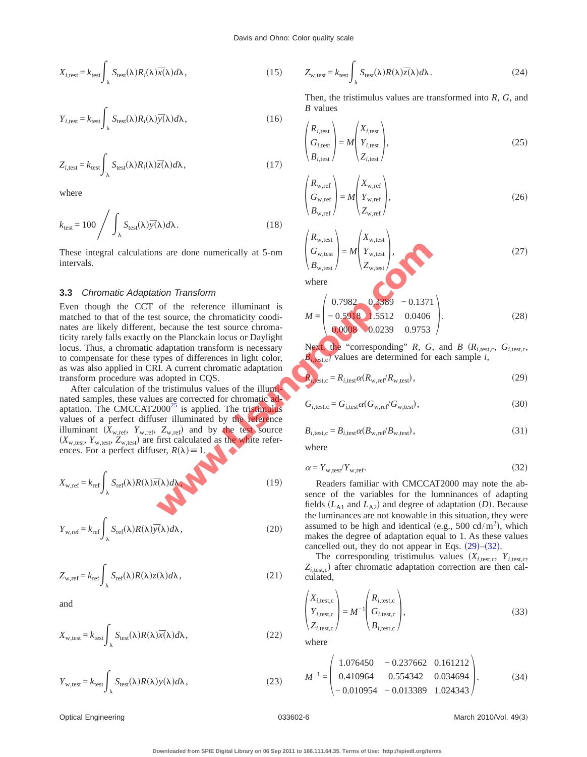$$
X_{i,\text{test}} = k_{\text{test}} \int_{\lambda} S_{\text{test}}(\lambda) R_i(\lambda) \overline{x}(\lambda) d\lambda, \qquad (15)
$$

$$
Y_{i,\text{test}} = k_{\text{test}} \int_{\lambda} S_{\text{test}}(\lambda) R_i(\lambda) \overline{y}(\lambda) d\lambda, \qquad (16)
$$

$$
Z_{i,\text{test}} = k_{\text{test}} \int_{\lambda} S_{\text{test}}(\lambda) R_i(\lambda) \overline{z}(\lambda) d\lambda, \qquad (17)
$$

where

$$
k_{\text{test}} = 100 \left/ \int_{\lambda} S_{\text{test}}(\lambda) \overline{y}(\lambda) d\lambda. \right. \tag{18}
$$

These integral calculations are done numerically at 5-nm intervals.

#### **3.3** *Chromatic Adaptation Transform*

Even though the CCT of the reference illuminant is matched to that of the test source, the chromaticity coodinates are likely different, because the test source chromaticity rarely falls exactly on the Planckain locus or Daylight locus. Thus, a chromatic adaptation transform is necessary to compensate for these types of differences in light color, as was also applied in CRI. A current chromatic adaptation transform procedure was adopted in CQS. as are done numerically at 5-nm<br>
where<br> **with the control of the control of the control of the control of the control of the effence illuminant is<br>
st source, the chromaticity coodi-<br>
because the test source chromatical<br>** 

After calculation of the tristimulus values of the illuminated samples, these values are corrected for chromatic adaptation. The CMCCAT2000<sup>25</sup> is applied. The tristimulus values of a perfect diffuser illuminated by the reference illuminant  $(X_{w,ref}, Y_{w,ref}, Z_{w,ref})$  and by the test source  $(X_{w,\text{test}}, Y_{w,\text{test}}, Z_{w,\text{test}})$  are first calculated as the white references. For a perfect diffuser,  $R(\lambda) \equiv 1$ .

$$
X_{\text{w,ref}} = k_{\text{ref}} \int_{\lambda} S_{\text{ref}}(\lambda) R(\lambda) \bar{x}(\lambda) d\lambda \tag{19}
$$

$$
Y_{\text{w,ref}} = k_{\text{ref}} \int_{\lambda} S_{\text{ref}}(\lambda) R(\lambda) \overline{y}(\lambda) d\lambda, \qquad (20)
$$

$$
Z_{\text{w,ref}} = k_{\text{ref}} \int_{\lambda} S_{\text{ref}}(\lambda) R(\lambda) \overline{z}(\lambda) d\lambda, \qquad (21)
$$

and

$$
X_{\text{w,test}} = k_{\text{test}} \int_{\lambda} S_{\text{test}}(\lambda) R(\lambda) \bar{x}(\lambda) d\lambda, \qquad (22)
$$

$$
Y_{\text{w,test}} = k_{\text{test}} \int_{\lambda} S_{\text{test}}(\lambda) R(\lambda) \overline{y}(\lambda) d\lambda, \qquad (23)
$$

$$
Z_{\text{w,test}} = k_{\text{test}} \int_{\lambda} S_{\text{test}}(\lambda) R(\lambda) \overline{z}(\lambda) d\lambda.
$$
 (24)

Then, the tristimulus values are transformed into *R*, *G*, and *B* values

$$
\begin{pmatrix} R_{i,\text{test}} \\ G_{i,\text{test}} \\ B_{i,\text{test}} \end{pmatrix} = M \begin{pmatrix} X_{i,\text{test}} \\ Y_{i,\text{test}} \\ Z_{i,\text{test}} \end{pmatrix},
$$
\n(25)

$$
\begin{pmatrix} R_{\text{w,ref}} \\ G_{\text{w,ref}} \\ B_{\text{w,ref}} \end{pmatrix} = M \begin{pmatrix} X_{\text{w,ref}} \\ Y_{\text{w,ref}} \\ Z_{\text{w,ref}} \end{pmatrix},
$$
\n(26)

$$
\begin{pmatrix} R_{\text{w,test}} \\ G_{\text{w,test}} \\ B_{\text{w,test}} \end{pmatrix} = M \begin{pmatrix} X_{\text{w,test}} \\ Y_{\text{w,test}} \\ Z_{\text{w,test}} \end{pmatrix},
$$
\n(27)

where

$$
M = \begin{pmatrix} 0.7982 & 0.3389 & -0.1371 \\ -0.5918 & 0.5512 & 0.0406 \\ 0.0008 & 0.0239 & 0.9753 \end{pmatrix}.
$$
 (28)

Next, the "corresponding" *R*, *G*, and *B*  $(R_{i,\text{test},c}, G_{i,\text{test},c})$  $B_{i,\text{test},c}$  values are determined for each sample *i*,

$$
R_{i,\text{test},c} = R_{i,\text{test}} \alpha(R_{\text{w,ref}}/R_{\text{w,test}}),
$$
\n(29)

$$
G_{i,\text{test},c} = G_{i,\text{test}} \alpha(G_{w,\text{ref}}/G_{w,\text{test}}),\tag{30}
$$

$$
B_{i,\text{test},c} = B_{i,\text{test}} \alpha (B_{w,\text{ref}} / B_{w,\text{test}}),\tag{31}
$$

where

$$
\alpha = Y_{\text{w,test}} / Y_{\text{w,ref}}.\tag{32}
$$

Readers familiar with CMCCAT2000 may note the absence of the variables for the lumninances of adapting fields  $(L_{A1}$  and  $L_{A2}$ ) and degree of adaptation  $(D)$ . Because the luminances are not knowable in this situation, they were assumed to be high and identical (e.g.,  $500 \text{ cd/m}^2$ ), which makes the degree of adaptation equal to 1. As these values cancelled out, they do not appear in Eqs.  $(29)$ – $(32)$ .

The corresponding tristimulus values  $(X_{i,\text{test},c}, Y_{i,\text{test},c})$  $Z_{i, \text{test}, c}$ ) after chromatic adaptation correction are then calculated,

$$
\begin{pmatrix} X_{i,\text{test},c} \\ Y_{i,\text{test},c} \\ Z_{i,\text{test},c} \end{pmatrix} = M^{-1} \begin{pmatrix} R_{i,\text{test},c} \\ G_{i,\text{test},c} \\ B_{i,\text{test},c} \end{pmatrix},
$$
\n(33)

where

$$
M^{-1} = \begin{pmatrix} 1.076450 & -0.237662 & 0.161212 \\ 0.410964 & 0.554342 & 0.034694 \\ -0.010954 & -0.013389 & 1.024343 \end{pmatrix} . \tag{34}
$$

Optical Engineering 033602-6 March 2010/Vol. 493-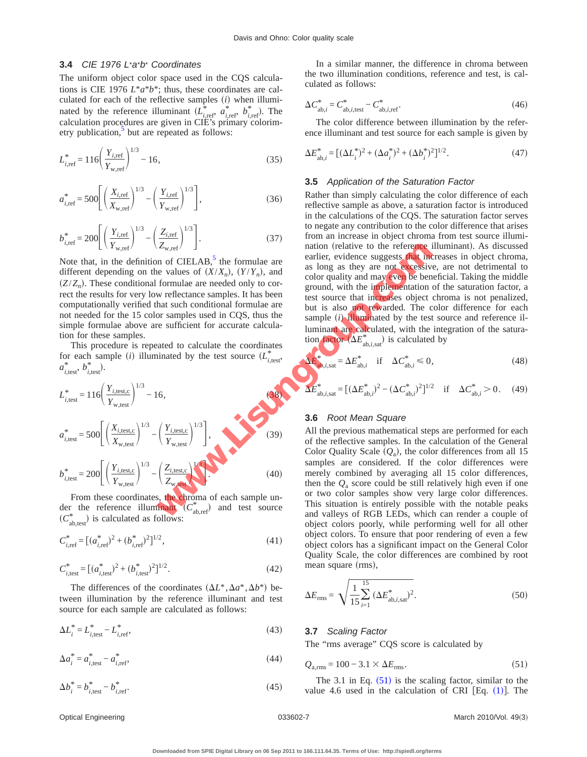# <span id="page-6-0"></span>**3.4** *CIE 1976 L*\**a*\**b*\* *Coordinates*

The uniform object color space used in the CQS calculations is CIE 1976 *L*\**a*\**b*\*; thus, these coordinates are calculated for each of the reflective samples  $(i)$  when illuminated by the reference illuminant  $(L^*_{i,\text{ref}}, a^*_{i,\text{ref}}, b^*_{i,\text{ref}})$ . The calculation procedures are given in CIE's primary colorimetry publication, $\frac{5}{3}$  but are repeated as follows:

$$
L_{i,ref}^{*} = 116 \left( \frac{Y_{i,ref}}{Y_{w,ref}} \right)^{1/3} - 16,
$$
\n(35)

$$
a_{i,ref}^{*} = 500 \left[ \left( \frac{X_{i,ref}}{X_{w,ref}} \right)^{1/3} - \left( \frac{Y_{i,ref}}{Y_{w,ref}} \right)^{1/3} \right],
$$
 (36)

$$
b_{i,\text{ref}}^* = 200 \left[ \left( \frac{Y_{i,\text{ref}}}{Y_{\text{w,ref}}} \right)^{1/3} - \left( \frac{Z_{i,\text{ref}}}{Z_{\text{w,ref}}} \right)^{1/3} \right]. \tag{37}
$$

Note that, in the definition of CIELAB, $<sup>5</sup>$  the formulae are</sup> different depending on the values of  $(X/X_n)$ ,  $(Y/Y_n)$ , and  $(Z/Z_n)$ . These conditional formulae are needed only to correct the results for very low reflectance samples. It has been computationally verified that such conditional formulae are not needed for the 15 color samples used in CQS, thus the simple formulae above are sufficient for accurate calculation for these samples.

This procedure is repeated to calculate the coordinates for each sample *(i)* illuminated by the test source  $(L_{i,\text{test}}^*)$  $a_{i,\text{test}}^*$ ,  $b_{i,\text{test}}^*$ ).

*Li*,test \* = 116 *Yi*,test,c *Y*w,test 1/3 − 16, 38*ai*,test \* = 500 *Xi*,test,c *X*w,test 1/3 − *Yi*,test,c *Y*w,test 1/3 , 39*bi*,test \* = 200 *Yi*,test,c *Y*w,test 1/3 − *Zi*,test,c *Z*w,test 1/3 . 40**www.Lisungroup.com**

From these coordinates, the chroma of each sample under the reference illuminant  $(C_{ab,ref}^*)$  and test source  $(C_{ab,\text{test}}^*)$  is calculated as follows:

$$
C_{i,\text{ref}}^* = \left[ (a_{i,\text{ref}}^*)^2 + (b_{i,\text{ref}}^*)^2 \right]^{1/2},\tag{41}
$$

$$
C_{i,\text{test}}^* = \left[ (a_{i,\text{test}}^*)^2 + (b_{i,\text{test}}^*)^2 \right]^{1/2}.
$$
 (42)

The differences of the coordinates  $(\Delta L^*, \Delta a^*, \Delta b^*)$  between illumination by the reference illuminant and test source for each sample are calculated as follows:

$$
\Delta L_i^* = L_{i,\text{test}}^* - L_{i,\text{ref}}^*,\tag{43}
$$

$$
\Delta a_i^* = a_{i, \text{test}}^* - a_{i, \text{ref}}^*,\tag{44}
$$

$$
\Delta b_i^* = b_{i,\text{test}}^* - b_{i,\text{ref}}^*.\tag{45}
$$

In a similar manner, the difference in chroma between the two illumination conditions, reference and test, is calculated as follows:

$$
\Delta C_{\text{ab},i}^* = C_{\text{ab},i,\text{test}}^* - C_{\text{ab},i,\text{ref}}^* \tag{46}
$$

The color difference between illumination by the reference illuminant and test source for each sample is given by

$$
\Delta E_{\text{ab},i}^* = [(\Delta L_i^*)^2 + (\Delta a_i^*)^2 + (\Delta b_i^*)^2]^{1/2}.
$$
 (47)

#### **3.5** *Application of the Saturation Factor*

Rather than simply calculating the color difference of each reflective sample as above, a saturation factor is introduced in the calculations of the CQS. The saturation factor serves to negate any contribution to the color difference that arises from an increase in object chroma from test source illumination (relative to the reference illuminant). As discussed earlier, evidence suggests that increases in object chroma, as long as they are not excessive, are not detrimental to color quality and may even be beneficial. Taking the middle ground, with the implementation of the saturation factor, a test source that increases object chroma is not penalized, but is also not rewarded. The color difference for each sample  $(i)$  illuminated by the test source and reference illuminant are calculated, with the integration of the saturation factor  $(\Delta E_{ab,i,sat}^*)$  is calculated by

$$
\Delta E_{ab,i,\text{sat}}^* = \Delta E_{ab,i}^* \quad \text{if} \quad \Delta C_{ab,i}^* \le 0,\tag{48}
$$

$$
\Delta E_{\text{ab},i,\text{sat}}^* = [(\Delta E_{\text{ab},i}^*)^2 - (\Delta C_{\text{ab},i}^*)^2]^{1/2} \quad \text{if} \quad \Delta C_{\text{ab},i}^* > 0. \tag{49}
$$

#### **3.6** *Root Mean Square*

All the previous mathematical steps are performed for each of the reflective samples. In the calculation of the General Color Quality Scale  $(Q_a)$ , the color differences from all 15 samples are considered. If the color differences were merely combined by averaging all 15 color differences, then the  $Q_a$  score could be still relatively high even if one or two color samples show very large color differences. This situation is entirely possible with the notable peaks and valleys of RGB LEDs, which can render a couple of object colors poorly, while performing well for all other object colors. To ensure that poor rendering of even a few object colors has a significant impact on the General Color Quality Scale, the color differences are combined by root mean square (rms),

$$
\Delta E_{\rm rms} = \sqrt{\frac{1}{15} \sum_{i=1}^{15} (\Delta E_{\rm ab, i, sat}^*)^2}.
$$
\n(50)

# **3.7** *Scaling Factor*

The "rms average" CQS score is calculated by

$$
Q_{\text{a,rms}} = 100 - 3.1 \times \Delta E_{\text{rms}}.\tag{51}
$$

The 3.1 in Eq.  $(51)$  is the scaling factor, similar to the value 4.6 used in the calculation of CRI [Eq.  $(1)$  $(1)$  $(1)$ ]. The

Optical Engineering 033602-7 March 2010/Vol. 493-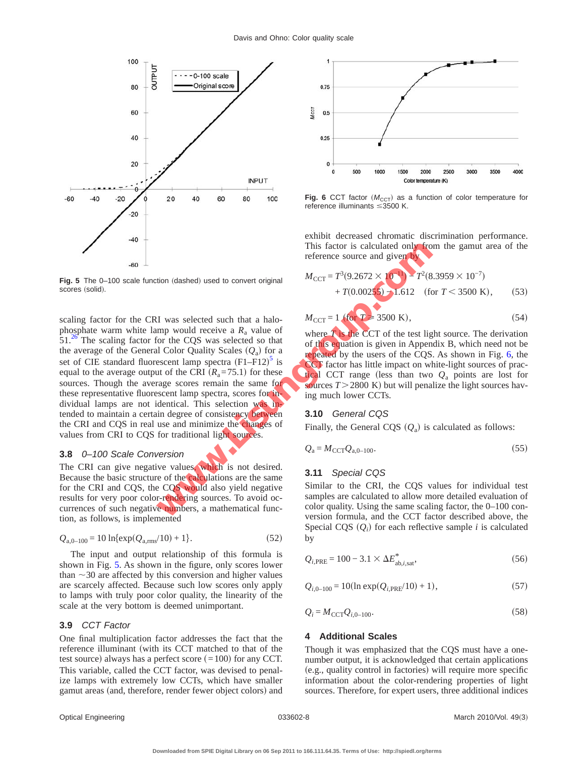<span id="page-7-0"></span>

**Fig. 5** The 0–100 scale function (dashed) used to convert original scores (solid).

scaling factor for the CRI was selected such that a halophosphate warm white lamp would receive a  $R_a$  value of  $51<sup>20</sup>$  The scaling factor for the CQS was selected so that the average of the General Color Quality Scales  $(Q_a)$  for a set of CIE standard fluorescent lamp spectra  $(F1-F12)^5$  is equal to the average output of the CRI  $(R_a = 75.1)$  for these sources. Though the average scores remain the same for these representative fluorescent lamp spectra, scores for individual lamps are not identical. This selection was intended to maintain a certain degree of consistency between the CRI and CQS in real use and minimize the changes of values from CRI to CQS for traditional light sources. From (dashed) used to convert original<br>
weight tion (dashed) used to convert original<br>  $W_{\text{CCT}} = T^3(9.2672 \times 10^{-11})$ <br>  $+ T(0.00255) - 1.612$  (for the CQS was selected such that a halo-<br>
for the CQS was selected so that<br>
al

#### **3.8** *0–100 Scale Conversion*

The CRI can give negative values, which is not desired. Because the basic structure of the calculations are the same for the CRI and CQS, the CQS would also yield negative results for very poor color-rendering sources. To avoid occurrences of such negative numbers, a mathematical function, as follows, is implemented

$$
Q_{a,0-100} = 10 \ln{\exp(Q_{a,rms}/10) + 1}.
$$
 (52)

The input and output relationship of this formula is shown in Fig. 5. As shown in the figure, only scores lower than  $\sim$ 30 are affected by this conversion and higher values are scarcely affected. Because such low scores only apply to lamps with truly poor color quality, the linearity of the scale at the very bottom is deemed unimportant.

#### **3.9** *CCT Factor*

One final multiplication factor addresses the fact that the reference illuminant (with its CCT matched to that of the test source) always has a perfect score  $(=100)$  for any CCT. This variable, called the CCT factor, was devised to penalize lamps with extremely low CCTs, which have smaller gamut areas (and, therefore, render fewer object colors) and



**Fig. 6** CCT factor  $(M_{\text{CCT}})$  as a function of color temperature for reference illuminants  $\leq$ 3500 K.

exhibit decreased chromatic discrimination performance. This factor is calculated only from the gamut area of the reference source and given by

$$
M_{\text{CCT}} = T^3 (9.2672 \times 10^{-1}) = T^2 (8.3959 \times 10^{-7})
$$
  
+  $T(0.00255) = 1.612$  (for  $T < 3500 \text{ K}$ ), (53)

$$
M_{\text{CCT}} = 1 \text{ (for } T \ge 3500 \text{ K)},\tag{54}
$$

where *T* is the CCT of the test light source. The derivation of this equation is given in Appendix B, which need not be repeated by the users of the CQS. As shown in Fig. 6, the CCT factor has little impact on white-light sources of practical CCT range (less than two  $Q_a$  points are lost for sources  $T > 2800$  K) but will penalize the light sources having much lower CCTs.

#### **3.10** *General CQS*

Finally, the General CQS  $(Q_a)$  is calculated as follows:

$$
Q_{\rm a} = M_{\rm CCT} Q_{\rm a,0-100}.\tag{55}
$$

## **3.11** *Special CQS*

Similar to the CRI, the CQS values for individual test samples are calculated to allow more detailed evaluation of color quality. Using the same scaling factor, the 0–100 conversion formula, and the CCT factor described above, the Special CQS  $(Q_i)$  for each reflective sample *i* is calculated by

$$
Q_{i, \text{PRE}} = 100 - 3.1 \times \Delta E_{\text{ab}, i, \text{sat}}^{*},\tag{56}
$$

$$
Q_{i,0-100} = 10(\ln \exp(Q_{i,\text{PRE}}/10) + 1),\tag{57}
$$

$$
Q_i = M_{\text{CCT}} Q_{i,0-100}.\tag{58}
$$

## **4 Additional Scales**

Though it was emphasized that the CQS must have a onenumber output, it is acknowledged that certain applications (e.g., quality control in factories) will require more specific information about the color-rendering properties of light sources. Therefore, for expert users, three additional indices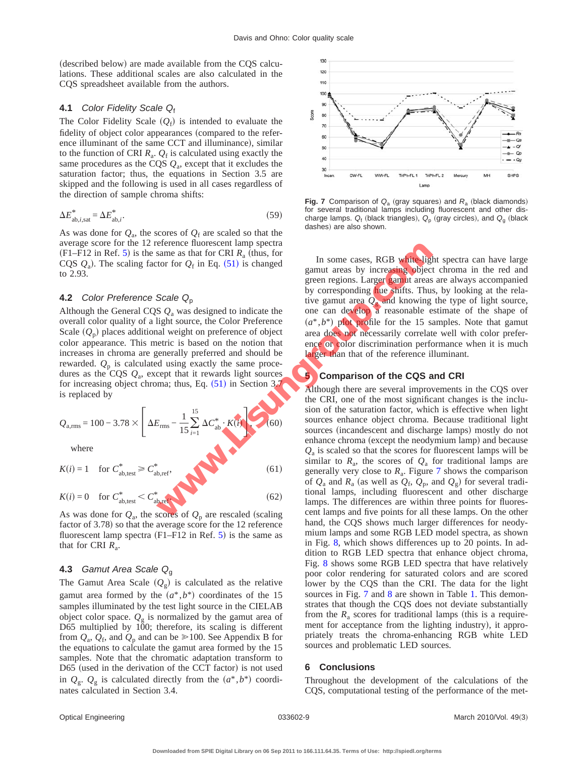<span id="page-8-0"></span>(described below) are made available from the CQS calculations. These additional scales are also calculated in the CQS spreadsheet available from the authors.

# **4.1** *Color Fidelity Scale Q*<sup>f</sup>

The Color Fidelity Scale  $(Q_f)$  is intended to evaluate the fidelity of object color appearances (compared to the reference illuminant of the same CCT and illuminance), similar to the function of CRI  $R_a$ .  $Q_f$  is calculated using exactly the same procedures as the CQS  $Q_a$ , except that it excludes the saturation factor; thus, the equations in Section 3.5 are skipped and the following is used in all cases regardless of the direction of sample chroma shifts:

$$
\Delta E_{\text{ab},i,\text{sat}}^* = \Delta E_{\text{ab},i}^* \tag{59}
$$

As was done for  $Q_a$ , the scores of  $Q_f$  are scaled so that the average score for the 12 reference fluorescent lamp spectra  $(F1-F12$  in Ref. [5](#page-14-0)) is the same as that for CRI  $R_a$  (thus, for CQS  $Q_a$ ). The scaling factor for  $Q_f$  in Eq. (51) is changed to 2.93.

## **4.2** *Color Preference Scale Q*<sup>p</sup>

Although the General CQS *Q*<sup>a</sup> was designed to indicate the overall color quality of a light source, the Color Preference Scale  $(Q_p)$  places additional weight on preference of object color appearance. This metric is based on the notion that increases in chroma are generally preferred and should be rewarded.  $Q_p$  is calculated using exactly the same procedures as the CQS  $Q_a$ , except that it rewards light sources for increasing object chroma; thus, Eq. (51) in Section 3.7 is replaced by

$$
Q_{\text{a,rms}} = 100 - 3.78 \times \left[ \Delta E_{\text{rms}} - \frac{1}{15} \sum_{i=1}^{15} \Delta C_{\text{ab}}^* \cdot K(i) \right],
$$
 (60)

$$
K(i) = 1 \quad \text{for } C^*_{\text{ab,test}} \ge C^*_{\text{ab,ref}}, \tag{61}
$$

$$
K(i) = 0 \quad \text{for } C^*_{\text{ab,test}} < C^*_{\text{ab,ref}} \tag{62}
$$

As was done for  $Q_a$ , the scores of  $Q_p$  are rescaled (scaling factor of 3.78) so that the average score for the 12 reference fluorescent lamp spectra  $(F1-F12$  in Ref. [5](#page-14-0)) is the same as that for CRI  $R_a$ .

# **4.3** *Gamut Area Scale Q*<sup>g</sup>

The Gamut Area Scale  $(Q<sub>g</sub>)$  is calculated as the relative gamut area formed by the  $(a^*, b^*)$  coordinates of the 15 samples illuminated by the test light source in the CIELAB object color space.  $Q_g$  is normalized by the gamut area of D65 multiplied by  $100$ ; therefore, its scaling is different from  $Q_a$ ,  $Q_f$ , and  $Q_p$  and can be  $\geq 100$ . See Appendix B for the equations to calculate the gamut area formed by the 15 samples. Note that the chromatic adaptation transform to D65 (used in the derivation of the CCT factor) is not used in  $Q_{g}$ .  $Q_{g}$  is calculated directly from the  $(a^*, b^*)$  coordinates calculated in Section 3.4.



**Fig. 7** Comparison of  $Q_a$  (gray squares) and  $R_a$  (black diamonds) for several traditional lamps including fluorescent and other discharge lamps. Q<sub>f</sub> (black triangles), Q<sub>p</sub> (gray circles), and Q<sub>g</sub> (black dashes) are also shown.

In some cases, RGB white-light spectra can have large gamut areas by increasing object chroma in the red and green regions. Larger gamut areas are always accompanied by corresponding hue shifts. Thus, by looking at the relative gamut area  $Q_{g}$  and knowing the type of light source, one can develop a reasonable estimate of the shape of  $(a^*, b^*)$  plot profile for the 15 samples. Note that gamut area does not necessarily correlate well with color preference or color discrimination performance when it is much larger than that of the reference illuminant.

# **5 Comparison of the CQS and CRI**

Although there are several improvements in the CQS over the CRI, one of the most significant changes is the inclusion of the saturation factor, which is effective when light sources enhance object chroma. Because traditional light sources (incandescent and discharge lamps) mostly do not enhance chroma (except the neodymium lamp) and because *Q*<sup>a</sup> is scaled so that the scores for fluorescent lamps will be similar to  $R_a$ , the scores of  $Q_a$  for traditional lamps are generally very close to  $R_a$ . Figure 7 shows the comparison of  $Q_a$  and  $R_a$  (as well as  $Q_f$ ,  $Q_p$ , and  $Q_g$ ) for several traditional lamps, including fluorescent and other discharge lamps. The differences are within three points for fluorescent lamps and five points for all these lamps. On the other hand, the CQS shows much larger differences for neodymium lamps and some RGB LED model spectra, as shown in Fig. [8,](#page-9-0) which shows differences up to 20 points. In addition to RGB LED spectra that enhance object chroma, Fig. [8](#page-9-0) shows some RGB LED spectra that have relatively poor color rendering for saturated colors and are scored lower by the CQS than the CRI. The data for the light sources in Fig. 7 and [8](#page-9-0) are shown in Table [1.](#page-9-0) This demonstrates that though the CQS does not deviate substantially from the  $R_a$  scores for traditional lamps (this is a requirement for acceptance from the lighting industry), it appropriately treats the chroma-enhancing RGB white LED sources and problematic LED sources. same as that for CRI  $R_a$  (fs) is changed<br>
tor for  $Q_f$  in Eq. (51) is changed<br>
gamut areas by increasing objec<br>
green regions. Larger cannot areas<br>
by corresponding hue smiths. Thus<br>
SCale  $Q_p$  to the Color Preference<br>
i

#### **6 Conclusions**

Throughout the development of the calculations of the CQS, computational testing of the performance of the met-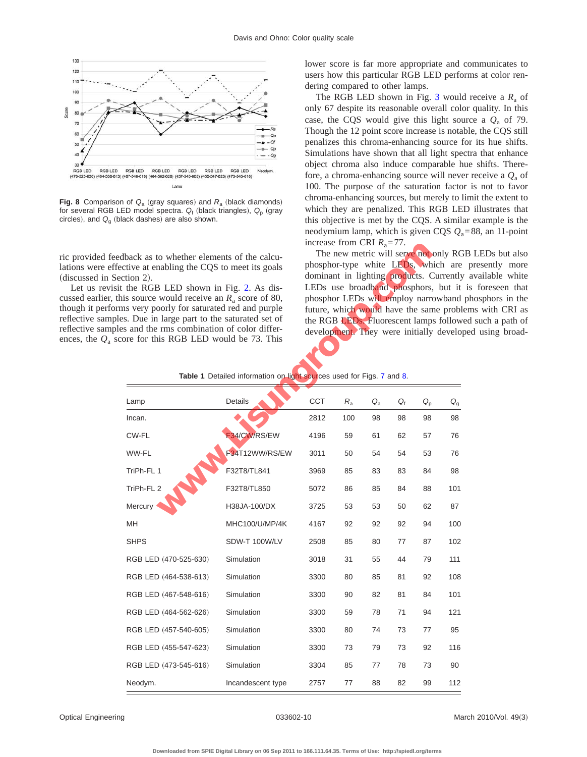<span id="page-9-0"></span>

**Fig. 8** Comparison of  $Q_{\rm a}$  (gray squares) and  $R_{\rm a}$  (black diamonds) for several RGB LED model spectra. Q<sub>f</sub> (black triangles), Q<sub>p</sub> (gray circles), and Q<sub>g</sub> (black dashes) are also shown.

ric provided feedback as to whether elements of the calculations were effective at enabling the CQS to meet its goals (discussed in Section 2).

Let us revisit the RGB LED shown in Fig. 2. As discussed earlier, this source would receive an  $R_a$  score of 80, though it performs very poorly for saturated red and purple reflective samples. Due in large part to the saturated set of reflective samples and the rms combination of color differences, the  $Q_a$  score for this RGB LED would be 73. This

lower score is far more appropriate and communicates to users how this particular RGB LED performs at color rendering compared to other lamps.

The RGB LED shown in Fig. [3](#page-2-0) would receive a  $R_a$  of only 67 despite its reasonable overall color quality. In this case, the CQS would give this light source a  $Q<sub>a</sub>$  of 79. Though the 12 point score increase is notable, the CQS still penalizes this chroma-enhancing source for its hue shifts. Simulations have shown that all light spectra that enhance object chroma also induce comparable hue shifts. Therefore, a chroma-enhancing source will never receive a  $Q<sub>a</sub>$  of 100. The purpose of the saturation factor is not to favor chroma-enhancing sources, but merely to limit the extent to which they are penalized. This RGB LED illustrates that this objective is met by the CQS. A similar example is the neodymium lamp, which is given CQS  $Q_a = 88$ , an 11-point increase from CRI  $R_a = 77$ .

The new metric will serve not only RGB LEDs but also phosphor-type white LEDs, which are presently more dominant in lighting products. Currently available white LEDs use broadband phosphors, but it is foreseen that phosphor LEDs will employ narrowband phosphors in the future, which would have the same problems with CRI as the RGB LEDs. Fluorescent lamps followed such a path of development. They were initially developed using broad-

| lback as to whether elements of the calcu-<br>ctive at enabling the CQS to meet its goals<br>ction $2$ ).<br>the RGB LED shown in Fig. 2. As dis-<br>is source would receive an $R_a$ score of 80,<br>as very poorly for saturated red and purple<br>s. Due in large part to the saturated set of<br>s and the rms combination of color differ-<br>ore for this RGB LED would be 73. This | The new metric will serve not only RGI<br>phosphor-type white LEDs, which are<br>dominant in lighting products. Currently<br>LEDs use broadband phosphors, but it i<br>phosphor LEDs will employ narrowband p<br>future, which would have the same proble<br>the RGB LEDs. Fluorescent lamps followe<br>development. They were initially develop<br>Table 1 Detailed information on light sources used for Figs. 7 and 8. |      |             |         |    |             |         |
|-------------------------------------------------------------------------------------------------------------------------------------------------------------------------------------------------------------------------------------------------------------------------------------------------------------------------------------------------------------------------------------------|---------------------------------------------------------------------------------------------------------------------------------------------------------------------------------------------------------------------------------------------------------------------------------------------------------------------------------------------------------------------------------------------------------------------------|------|-------------|---------|----|-------------|---------|
|                                                                                                                                                                                                                                                                                                                                                                                           |                                                                                                                                                                                                                                                                                                                                                                                                                           |      |             |         |    |             |         |
| Lamp                                                                                                                                                                                                                                                                                                                                                                                      | Details                                                                                                                                                                                                                                                                                                                                                                                                                   | CCT  | $R_{\rm a}$ | $Q_{a}$ | Q, | $Q_{\rm p}$ | $Q_{q}$ |
| Incan.                                                                                                                                                                                                                                                                                                                                                                                    |                                                                                                                                                                                                                                                                                                                                                                                                                           | 2812 | 100         | 98      | 98 | 98          | 98      |
| CW-FL                                                                                                                                                                                                                                                                                                                                                                                     | F34/CW/RS/EW                                                                                                                                                                                                                                                                                                                                                                                                              | 4196 | 59          | 61      | 62 | 57          | 76      |
| WW-FL                                                                                                                                                                                                                                                                                                                                                                                     | F34T12WW/RS/EW                                                                                                                                                                                                                                                                                                                                                                                                            | 3011 | 50          | 54      | 54 | 53          | 76      |
| TriPh-FL 1                                                                                                                                                                                                                                                                                                                                                                                | F32T8/TL841                                                                                                                                                                                                                                                                                                                                                                                                               | 3969 | 85          | 83      | 83 | 84          | 98      |
| TriPh-FL <sub>2</sub>                                                                                                                                                                                                                                                                                                                                                                     | F32T8/TL850                                                                                                                                                                                                                                                                                                                                                                                                               | 5072 | 86          | 85      | 84 | 88          | 101     |
| Mercury 4                                                                                                                                                                                                                                                                                                                                                                                 | H38JA-100/DX                                                                                                                                                                                                                                                                                                                                                                                                              | 3725 | 53          | 53      | 50 | 62          | 87      |
| MН                                                                                                                                                                                                                                                                                                                                                                                        | MHC100/U/MP/4K                                                                                                                                                                                                                                                                                                                                                                                                            | 4167 | 92          | 92      | 92 | 94          | 100     |
| <b>SHPS</b>                                                                                                                                                                                                                                                                                                                                                                               | SDW-T 100W/LV                                                                                                                                                                                                                                                                                                                                                                                                             | 2508 | 85          | 80      | 77 | 87          | 102     |
| RGB LED (470-525-630)                                                                                                                                                                                                                                                                                                                                                                     | Simulation                                                                                                                                                                                                                                                                                                                                                                                                                | 3018 | 31          | 55      | 44 | 79          | 111     |
| RGB LED (464-538-613)                                                                                                                                                                                                                                                                                                                                                                     | <b>Simulation</b>                                                                                                                                                                                                                                                                                                                                                                                                         | 3300 | 80          | 85      | 81 | 92          | 108     |
| RGB LED (467-548-616)                                                                                                                                                                                                                                                                                                                                                                     | Simulation                                                                                                                                                                                                                                                                                                                                                                                                                | 3300 | 90          | 82      | 81 | 84          | 101     |
| RGB LED (464-562-626)                                                                                                                                                                                                                                                                                                                                                                     | <b>Simulation</b>                                                                                                                                                                                                                                                                                                                                                                                                         | 3300 | 59          | 78      | 71 | 94          | 121     |
| RGB LED (457-540-605)                                                                                                                                                                                                                                                                                                                                                                     | Simulation                                                                                                                                                                                                                                                                                                                                                                                                                | 3300 | 80          | 74      | 73 | 77          | 95      |
| RGB LED (455-547-623)                                                                                                                                                                                                                                                                                                                                                                     | <b>Simulation</b>                                                                                                                                                                                                                                                                                                                                                                                                         | 3300 | 73          | 79      | 73 | 92          | 116     |
| RGB LED (473-545-616)                                                                                                                                                                                                                                                                                                                                                                     | Simulation                                                                                                                                                                                                                                                                                                                                                                                                                | 3304 | 85          | 77      | 78 | 73          | 90      |
| Neodym.                                                                                                                                                                                                                                                                                                                                                                                   | Incandescent type                                                                                                                                                                                                                                                                                                                                                                                                         | 2757 | 77          | 88      | 82 | 99          | 112     |

|  |  | <b>Table 1</b> Detailed information on light sources used for Figs. 7 and 8. |  |  |  |  |  |
|--|--|------------------------------------------------------------------------------|--|--|--|--|--|
|--|--|------------------------------------------------------------------------------|--|--|--|--|--|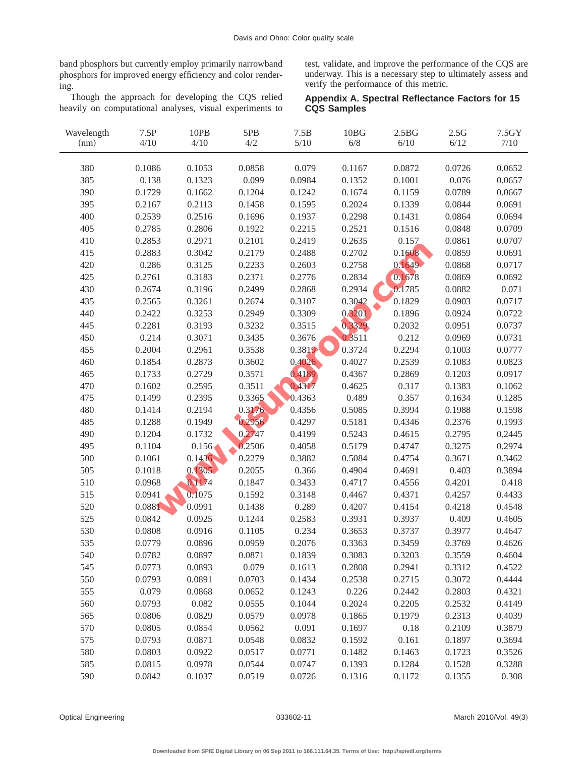band phosphors but currently employ primarily narrowband phosphors for improved energy efficiency and color rendering.

Though the approach for developing the CQS relied heavily on computational analyses, visual experiments to test, validate, and improve the performance of the CQS are underway. This is a necessary step to ultimately assess and verify the performance of this metric.

# **Appendix A. Spectral Reflectance Factors for 15 CQS Samples**

| Wavelength<br>(nm) | 7.5P<br>4/10 | 10PB<br>4/10 | 5PB<br>4/2 | 7.5B<br>$5/10$ | 10 <sub>B</sub><br>$6/8$ | 2.5 <sub>B</sub> G<br>6/10 | 2.5G<br>6/12 | 7.5GY<br>7/10 |
|--------------------|--------------|--------------|------------|----------------|--------------------------|----------------------------|--------------|---------------|
|                    |              |              |            |                |                          |                            |              |               |
| 380                | 0.1086       | 0.1053       | 0.0858     | 0.079          | 0.1167                   | 0.0872                     | 0.0726       | 0.0652        |
| 385                | 0.138        | 0.1323       | 0.099      | 0.0984         | 0.1352                   | 0.1001                     | 0.076        | 0.0657        |
| 390                | 0.1729       | 0.1662       | 0.1204     | 0.1242         | 0.1674                   | 0.1159                     | 0.0789       | 0.0667        |
| 395                | 0.2167       | 0.2113       | 0.1458     | 0.1595         | 0.2024                   | 0.1339                     | 0.0844       | 0.0691        |
| 400                | 0.2539       | 0.2516       | 0.1696     | 0.1937         | 0.2298                   | 0.1431                     | 0.0864       | 0.0694        |
| 405                | 0.2785       | 0.2806       | 0.1922     | 0.2215         | 0.2521                   | 0.1516                     | 0.0848       | 0.0709        |
| 410                | 0.2853       | 0.2971       | 0.2101     | 0.2419         | 0.2635                   | 0.157                      | 0.0861       | 0.0707        |
| 415                | 0.2883       | 0.3042       | 0.2179     | 0.2488         | 0.2702                   | 0.1608                     | 0.0859       | 0.0691        |
| 420                | 0.286        | 0.3125       | 0.2233     | 0.2603         | 0.2758                   | 0.1649                     | 0.0868       | 0.0717        |
| 425                | 0.2761       | 0.3183       | 0.2371     | 0.2776         | 0.2834                   | 0.1678                     | 0.0869       | 0.0692        |
| 430                | 0.2674       | 0.3196       | 0.2499     | 0.2868         | 0.2934                   | 0.1785                     | 0.0882       | 0.071         |
| 435                | 0.2565       | 0.3261       | 0.2674     | 0.3107         | 0.3042                   | 0.1829                     | 0.0903       | 0.0717        |
| 440                | 0.2422       | 0.3253       | 0.2949     | 0.3309         | 0.3201                   | 0.1896                     | 0.0924       | 0.0722        |
| 445                | 0.2281       | 0.3193       | 0.3232     | 0.3515         | 0.3329                   | 0.2032                     | 0.0951       | 0.0737        |
| 450                | 0.214        | 0.3071       | 0.3435     | 0.3676         | 0.3511                   | 0.212                      | 0.0969       | 0.0731        |
| 455                | 0.2004       | 0.2961       | 0.3538     | 0.3819         | 0.3724                   | 0.2294                     | 0.1003       | 0.0777        |
| 460                | 0.1854       | 0.2873       | 0.3602     | 0.4026         | 0.4027                   | 0.2539                     | 0.1083       | 0.0823        |
| 465                | 0.1733       | 0.2729       | 0.3571     | 0.4189         | 0.4367                   | 0.2869                     | 0.1203       | 0.0917        |
| 470                | 0.1602       | 0.2595       | 0.3511     | 0.4317         | 0.4625                   | 0.317                      | 0.1383       | 0.1062        |
| 475                | 0.1499       | 0.2395       | 0.3365     | 0.4363         | 0.489                    | 0.357                      | 0.1634       | 0.1285        |
| 480                | 0.1414       | 0.2194       | 0.3176     | 0.4356         | 0.5085                   | 0.3994                     | 0.1988       | 0.1598        |
| 485                | 0.1288       | 0.1949       | 0.2956     | 0.4297         | 0.5181                   | 0.4346                     | 0.2376       | 0.1993        |
| 490                | 0.1204       | 0.1732       | 0.2747     | 0.4199         | 0.5243                   | 0.4615                     | 0.2795       | 0.2445        |
| 495                | 0.1104       | 0.156        | 0.2506     | 0.4058         | 0.5179                   | 0.4747                     | 0.3275       | 0.2974        |
| 500                | 0.1061       | 0.1436       | 0.2279     | 0.3882         | 0.5084                   | 0.4754                     | 0.3671       | 0.3462        |
| 505                | 0.1018       | 0.1305       | 0.2055     | 0.366          | 0.4904                   | 0.4691                     | 0.403        | 0.3894        |
| 510                | 0.0968       | 0.1174       | 0.1847     | 0.3433         | 0.4717                   | 0.4556                     | 0.4201       | 0.418         |
| 515                | 0.0941       | 0.1075       | 0.1592     | 0.3148         | 0.4467                   | 0.4371                     | 0.4257       | 0.4433        |
| 520                | 0.0881       | 0.0991       | 0.1438     | 0.289          | 0.4207                   | 0.4154                     | 0.4218       | 0.4548        |
| 525                | 0.0842       | 0.0925       | 0.1244     | 0.2583         | 0.3931                   | 0.3937                     | 0.409        | 0.4605        |
| 530                | 0.0808       | 0.0916       | 0.1105     | 0.234          | 0.3653                   | 0.3737                     | 0.3977       | 0.4647        |
| 535                | 0.0779       | 0.0896       | 0.0959     | 0.2076         | 0.3363                   | 0.3459                     | 0.3769       | 0.4626        |
| 540                | 0.0782       | 0.0897       | 0.0871     | 0.1839         | 0.3083                   | 0.3203                     | 0.3559       | 0.4604        |
| 545                | 0.0773       | 0.0893       | 0.079      | 0.1613         | 0.2808                   | 0.2941                     | 0.3312       | 0.4522        |
| 550                | 0.0793       | 0.0891       | 0.0703     | 0.1434         | 0.2538                   | 0.2715                     | 0.3072       | 0.4444        |
| 555                | 0.079        | 0.0868       | 0.0652     | 0.1243         | 0.226                    | 0.2442                     | 0.2803       | 0.4321        |
| 560                | 0.0793       | 0.082        | 0.0555     | 0.1044         | 0.2024                   | 0.2205                     | 0.2532       | 0.4149        |
| 565                | 0.0806       | 0.0829       | 0.0579     | 0.0978         | 0.1865                   | 0.1979                     | 0.2313       | 0.4039        |
| 570                | 0.0805       | 0.0854       | 0.0562     | 0.091          | 0.1697                   | 0.18                       | 0.2109       | 0.3879        |
| 575                | 0.0793       | 0.0871       | 0.0548     | 0.0832         | 0.1592                   | 0.161                      | 0.1897       | 0.3694        |
| 580                | 0.0803       | 0.0922       | 0.0517     | 0.0771         | 0.1482                   | 0.1463                     | 0.1723       | 0.3526        |
| 585                | 0.0815       | 0.0978       | 0.0544     | 0.0747         | 0.1393                   | 0.1284                     | 0.1528       | 0.3288        |
| 590                | 0.0842       | 0.1037       | 0.0519     | 0.0726         | 0.1316                   | 0.1172                     | 0.1355       | 0.308         |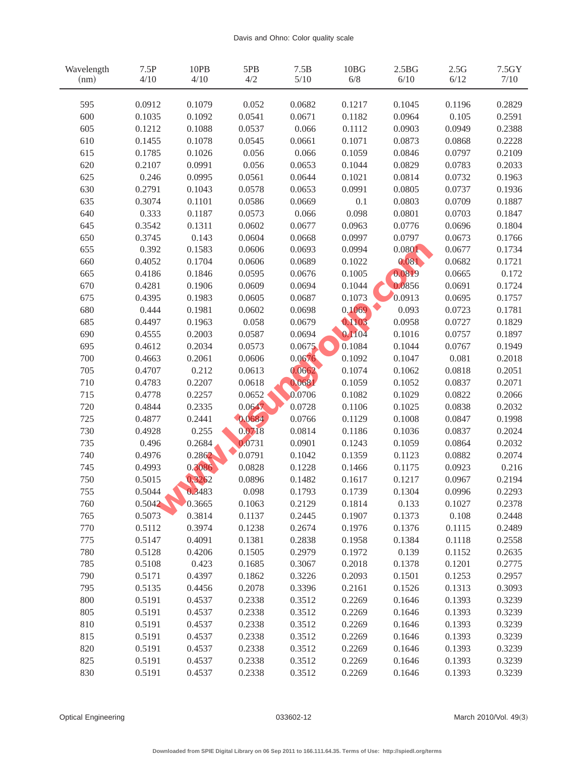| Wavelength<br>(nm) | 7.5P<br>4/10     | 10PB<br>4/10     | 5PB<br>4/2       | 7.5B<br>$5/10$ | 10 <sub>B</sub><br>$6/8$ | 2.5 <sub>B</sub> G<br>6/10 | 2.5G<br>6/12 | 7.5GY<br>$7/10$ |
|--------------------|------------------|------------------|------------------|----------------|--------------------------|----------------------------|--------------|-----------------|
| 595                | 0.0912           | 0.1079           | 0.052            | 0.0682         | 0.1217                   | 0.1045                     | 0.1196       | 0.2829          |
| 600                | 0.1035           | 0.1092           | 0.0541           | 0.0671         | 0.1182                   | 0.0964                     | 0.105        | 0.2591          |
| 605                | 0.1212           | 0.1088           | 0.0537           | 0.066          | 0.1112                   | 0.0903                     | 0.0949       | 0.2388          |
| 610                | 0.1455           | 0.1078           | 0.0545           | 0.0661         | 0.1071                   | 0.0873                     | 0.0868       | 0.2228          |
| 615                | 0.1785           | 0.1026           | 0.056            | 0.066          | 0.1059                   | 0.0846                     | 0.0797       | 0.2109          |
| 620                | 0.2107           | 0.0991           | 0.056            | 0.0653         | 0.1044                   | 0.0829                     | 0.0783       | 0.2033          |
| 625                | 0.246            | 0.0995           | 0.0561           | 0.0644         | 0.1021                   | 0.0814                     | 0.0732       | 0.1963          |
| 630                | 0.2791           | 0.1043           | 0.0578           | 0.0653         | 0.0991                   | 0.0805                     | 0.0737       | 0.1936          |
| 635                | 0.3074           | 0.1101           | 0.0586           | 0.0669         | 0.1                      | 0.0803                     | 0.0709       | 0.1887          |
| 640                | 0.333            | 0.1187           | 0.0573           | 0.066          | 0.098                    | 0.0801                     | 0.0703       | 0.1847          |
| 645                | 0.3542           | 0.1311           | 0.0602           | 0.0677         | 0.0963                   | 0.0776                     | 0.0696       | 0.1804          |
| 650                | 0.3745           | 0.143            | 0.0604           | 0.0668         | 0.0997                   | 0.0797                     | 0.0673       | 0.1766          |
| 655                | 0.392            | 0.1583           | 0.0606           | 0.0693         | 0.0994                   | 0.0801                     | 0.0677       | 0.1734          |
| 660                | 0.4052           | 0.1704           | 0.0606           | 0.0689         | 0.1022                   | 0.081                      | 0.0682       | 0.1721          |
| 665                | 0.4186           | 0.1846           | 0.0595           | 0.0676         | 0.1005                   | 0.0819                     | 0.0665       | 0.172           |
| 670                | 0.4281           | 0.1906           | 0.0609           | 0.0694         | 0.1044                   | 0.0856                     | 0.0691       | 0.1724          |
| 675                | 0.4395           | 0.1983           | 0.0605           | 0.0687         | 0.1073                   | 0.0913                     | 0.0695       | 0.1757          |
| 680                | 0.444            | 0.1981           | 0.0602           | 0.0698         | 0.1069                   | 0.093                      | 0.0723       | 0.1781          |
| 685                | 0.4497           | 0.1963           | 0.058            | 0.0679         | 0.1103                   | 0.0958                     | 0.0727       | 0.1829          |
| 690                | 0.4555           | 0.2003           | 0.0587           | 0.0694         | 0.1104                   | 0.1016                     | 0.0757       | 0.1897          |
| 695                | 0.4612           | 0.2034           | 0.0573           | 0.0675         | 0.1084                   | 0.1044                     | 0.0767       | 0.1949          |
| 700                | 0.4663           | 0.2061           | 0.0606           | 0.0676         | 0.1092                   | 0.1047                     | 0.081        | 0.2018          |
|                    |                  | 0.212            |                  |                |                          |                            |              |                 |
| 705                | 0.4707           |                  | 0.0613           | 0.0662         | 0.1074                   | 0.1062                     | 0.0818       | 0.2051          |
| 710                | 0.4783           | 0.2207           | 0.0618           | 0.0681         | 0.1059                   | 0.1052                     | 0.0837       | 0.2071          |
| 715                | 0.4778           | 0.2257           | 0.0652<br>0.0647 | 0.0706         | 0.1082                   | 0.1029                     | 0.0822       | 0.2066          |
| 720                | 0.4844           | 0.2335           |                  | 0.0728         | 0.1106                   | 0.1025                     | 0.0838       | 0.2032          |
| 725                | 0.4877           | 0.2441           | 0.0684           | 0.0766         | 0.1129<br>0.1186         | 0.1008                     | 0.0847       | 0.1998          |
| 730                | 0.4928           | 0.255            | 0.0718           | 0.0814         | 0.1243                   | 0.1036                     | 0.0837       | 0.2024          |
| 735                | 0.496            | 0.2684           | 0.0731           | 0.0901         |                          | 0.1059                     | 0.0864       | 0.2032          |
| 740                | 0.4976<br>0.4993 | 0.2862           | 0.0791           | 0.1042         | 0.1359                   | 0.1123                     | 0.0882       | 0.2074<br>0.216 |
| 745                |                  | 0.3086           | 0.0828           | 0.1228         | 0.1466                   | 0.1175                     | 0.0923       |                 |
| 750                | 0.5015           | 0.3262           | 0.0896           | 0.1482         | 0.1617                   | 0.1217                     | 0.0967       | 0.2194          |
| 755                | 0.5044           | 0.3483<br>0.3665 | 0.098<br>0.1063  | 0.1793         | 0.1739                   | 0.1304                     | 0.0996       | 0.2293          |
| 760                | 0.5042<br>0.5073 |                  |                  | 0.2129         | 0.1814                   | 0.133                      | 0.1027       | 0.2378          |
| 765                |                  | 0.3814           | 0.1137           | 0.2445         | 0.1907                   | 0.1373                     | 0.108        | 0.2448          |
| 770                | 0.5112           | 0.3974           | 0.1238           | 0.2674         | 0.1976                   | 0.1376                     | 0.1115       | 0.2489          |
| 775                | 0.5147           | 0.4091           | 0.1381           | 0.2838         | 0.1958                   | 0.1384                     | 0.1118       | 0.2558          |
| 780                | 0.5128           | 0.4206           | 0.1505           | 0.2979         | 0.1972                   | 0.139                      | 0.1152       | 0.2635          |
| 785                | 0.5108           | 0.423            | 0.1685           | 0.3067         | 0.2018                   | 0.1378                     | 0.1201       | 0.2775          |
| 790                | 0.5171           | 0.4397           | 0.1862           | 0.3226         | 0.2093                   | 0.1501                     | 0.1253       | 0.2957          |
| 795                | 0.5135           | 0.4456           | 0.2078           | 0.3396         | 0.2161                   | 0.1526                     | 0.1313       | 0.3093          |
| 800                | 0.5191           | 0.4537           | 0.2338           | 0.3512         | 0.2269                   | 0.1646                     | 0.1393       | 0.3239          |
| 805                | 0.5191           | 0.4537           | 0.2338           | 0.3512         | 0.2269                   | 0.1646                     | 0.1393       | 0.3239          |
| 810                | 0.5191           | 0.4537           | 0.2338           | 0.3512         | 0.2269                   | 0.1646                     | 0.1393       | 0.3239          |
| 815                | 0.5191           | 0.4537           | 0.2338           | 0.3512         | 0.2269                   | 0.1646                     | 0.1393       | 0.3239          |
| 820                | 0.5191           | 0.4537           | 0.2338           | 0.3512         | 0.2269                   | 0.1646                     | 0.1393       | 0.3239          |
| 825                | 0.5191           | 0.4537           | 0.2338           | 0.3512         | 0.2269                   | 0.1646                     | 0.1393       | 0.3239          |
| 830                | 0.5191           | 0.4537           | 0.2338           | 0.3512         | 0.2269                   | 0.1646                     | 0.1393       | 0.3239          |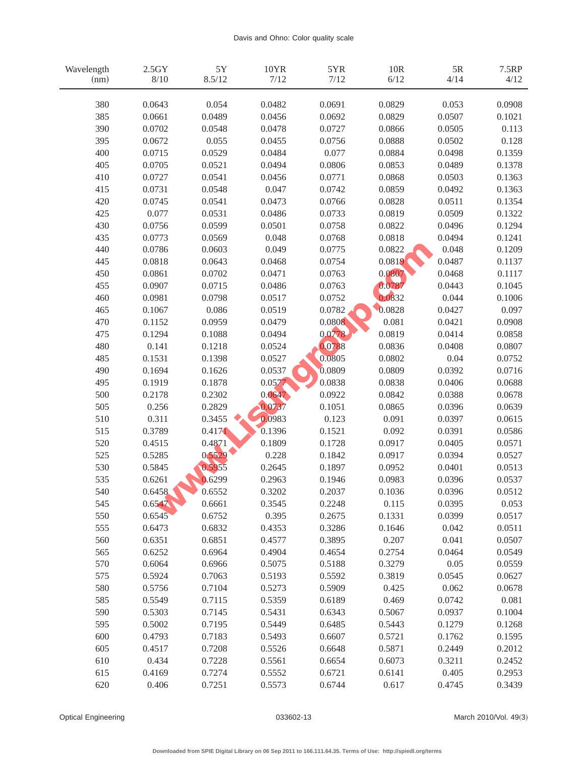| Wavelength | 2.5GY  | 5Y     | <b>10YR</b> | 5YR    | 10R    | $5\mathrm{R}$ | 7.5RP  |
|------------|--------|--------|-------------|--------|--------|---------------|--------|
| (nm)       | 8/10   | 8.5/12 | $7/12$      | 7/12   | 6/12   | 4/14          | 4/12   |
|            |        |        |             |        |        |               |        |
| 380        | 0.0643 | 0.054  | 0.0482      | 0.0691 | 0.0829 | 0.053         | 0.0908 |
| 385        | 0.0661 | 0.0489 | 0.0456      | 0.0692 | 0.0829 | 0.0507        | 0.1021 |
| 390        | 0.0702 | 0.0548 | 0.0478      | 0.0727 | 0.0866 | 0.0505        | 0.113  |
| 395        | 0.0672 | 0.055  | 0.0455      | 0.0756 | 0.0888 | 0.0502        | 0.128  |
| 400        | 0.0715 | 0.0529 | 0.0484      | 0.077  | 0.0884 | 0.0498        | 0.1359 |
| 405        | 0.0705 | 0.0521 | 0.0494      | 0.0806 | 0.0853 | 0.0489        | 0.1378 |
| 410        | 0.0727 | 0.0541 | 0.0456      | 0.0771 | 0.0868 | 0.0503        | 0.1363 |
| 415        | 0.0731 | 0.0548 | 0.047       | 0.0742 | 0.0859 | 0.0492        | 0.1363 |
| 420        | 0.0745 | 0.0541 | 0.0473      | 0.0766 | 0.0828 | 0.0511        | 0.1354 |
| 425        | 0.077  | 0.0531 | 0.0486      | 0.0733 | 0.0819 | 0.0509        | 0.1322 |
| 430        | 0.0756 | 0.0599 | 0.0501      | 0.0758 | 0.0822 | 0.0496        | 0.1294 |
| 435        | 0.0773 | 0.0569 | 0.048       | 0.0768 | 0.0818 | 0.0494        | 0.1241 |
| 440        | 0.0786 | 0.0603 | 0.049       | 0.0775 | 0.0822 | 0.048         | 0.1209 |
| 445        | 0.0818 | 0.0643 | 0.0468      | 0.0754 | 0.0819 | 0.0487        | 0.1137 |
| 450        | 0.0861 | 0.0702 | 0.0471      | 0.0763 | 0.0807 | 0.0468        | 0.1117 |
| 455        | 0.0907 | 0.0715 | 0.0486      | 0.0763 | 0.0787 | 0.0443        | 0.1045 |
| 460        | 0.0981 | 0.0798 | 0.0517      | 0.0752 | 0.0832 | 0.044         | 0.1006 |
| 465        | 0.1067 | 0.086  | 0.0519      | 0.0782 | 0.0828 | 0.0427        | 0.097  |
| 470        | 0.1152 | 0.0959 | 0.0479      | 0.0808 | 0.081  | 0.0421        | 0.0908 |
| 475        | 0.1294 | 0.1088 | 0.0494      | 0.0778 | 0.0819 | 0.0414        | 0.0858 |
| 480        | 0.141  | 0.1218 | 0.0524      | 0.0788 | 0.0836 | 0.0408        | 0.0807 |
| 485        | 0.1531 | 0.1398 | 0.0527      | 0.0805 | 0.0802 | 0.04          | 0.0752 |
| 490        | 0.1694 | 0.1626 | 0.0537      | 0.0809 | 0.0809 | 0.0392        | 0.0716 |
| 495        | 0.1919 | 0.1878 | 0.0577      | 0.0838 | 0.0838 | 0.0406        | 0.0688 |
| 500        | 0.2178 | 0.2302 | 0.0647      | 0.0922 | 0.0842 | 0.0388        | 0.0678 |
| 505        | 0.256  | 0.2829 | 0.0737      | 0.1051 | 0.0865 | 0.0396        | 0.0639 |
| 510        | 0.311  | 0.3455 | 0.0983      | 0.123  | 0.091  | 0.0397        | 0.0615 |
| 515        | 0.3789 | 0.4171 | 0.1396      | 0.1521 | 0.092  | 0.0391        | 0.0586 |
| 520        | 0.4515 | 0.4871 | 0.1809      | 0.1728 | 0.0917 | 0.0405        | 0.0571 |
| 525        | 0.5285 | 0.5529 | 0.228       | 0.1842 | 0.0917 | 0.0394        | 0.0527 |
| 530        | 0.5845 | 0.5955 | 0.2645      | 0.1897 | 0.0952 | 0.0401        | 0.0513 |
| 535        | 0.6261 | 0.6299 | 0.2963      | 0.1946 | 0.0983 | 0.0396        | 0.0537 |
| 540        | 0.6458 | 0.6552 | 0.3202      | 0.2037 | 0.1036 | 0.0396        | 0.0512 |
| 545        | 0.6547 | 0.6661 | 0.3545      | 0.2248 | 0.115  | 0.0395        | 0.053  |
| 550        | 0.6545 | 0.6752 | 0.395       | 0.2675 | 0.1331 | 0.0399        | 0.0517 |
| 555        | 0.6473 | 0.6832 | 0.4353      | 0.3286 | 0.1646 | 0.042         | 0.0511 |
| 560        | 0.6351 | 0.6851 | 0.4577      | 0.3895 | 0.207  | 0.041         | 0.0507 |
| 565        | 0.6252 | 0.6964 | 0.4904      | 0.4654 | 0.2754 | 0.0464        | 0.0549 |
| 570        | 0.6064 | 0.6966 | 0.5075      | 0.5188 | 0.3279 | 0.05          | 0.0559 |
| 575        | 0.5924 | 0.7063 | 0.5193      | 0.5592 | 0.3819 | 0.0545        | 0.0627 |
| 580        | 0.5756 | 0.7104 | 0.5273      | 0.5909 | 0.425  | 0.062         | 0.0678 |
| 585        | 0.5549 | 0.7115 | 0.5359      | 0.6189 | 0.469  | 0.0742        | 0.081  |
| 590        | 0.5303 | 0.7145 | 0.5431      | 0.6343 | 0.5067 | 0.0937        | 0.1004 |
| 595        | 0.5002 | 0.7195 | 0.5449      | 0.6485 | 0.5443 | 0.1279        | 0.1268 |
| 600        | 0.4793 | 0.7183 | 0.5493      | 0.6607 | 0.5721 | 0.1762        | 0.1595 |
| 605        | 0.4517 | 0.7208 | 0.5526      | 0.6648 | 0.5871 | 0.2449        | 0.2012 |
| 610        | 0.434  | 0.7228 | 0.5561      | 0.6654 | 0.6073 | 0.3211        | 0.2452 |
| 615        | 0.4169 | 0.7274 | 0.5552      | 0.6721 | 0.6141 | 0.405         | 0.2953 |
| 620        | 0.406  | 0.7251 | 0.5573      | 0.6744 | 0.617  | 0.4745        | 0.3439 |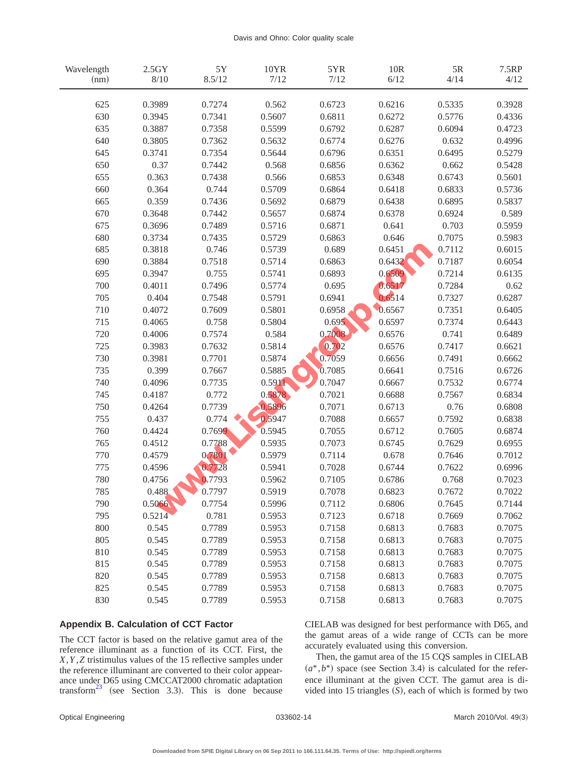| Wavelength<br>(nm) | 2.5GY<br>$8/10$ | $5{\rm Y}$<br>8.5/12 | <b>10YR</b><br>$7/12$ | 5YR<br>$7/12$ | 10R<br>6/12 | $5R$<br>4/14 | 7.5RP<br>4/12 |
|--------------------|-----------------|----------------------|-----------------------|---------------|-------------|--------------|---------------|
| 625                | 0.3989          | 0.7274               | 0.562                 | 0.6723        | 0.6216      | 0.5335       | 0.3928        |
| 630                | 0.3945          | 0.7341               | 0.5607                | 0.6811        | 0.6272      | 0.5776       | 0.4336        |
| 635                | 0.3887          | 0.7358               | 0.5599                | 0.6792        | 0.6287      | 0.6094       | 0.4723        |
| 640                | 0.3805          | 0.7362               | 0.5632                | 0.6774        | 0.6276      | 0.632        | 0.4996        |
| 645                | 0.3741          | 0.7354               | 0.5644                | 0.6796        | 0.6351      | 0.6495       | 0.5279        |
| 650                | 0.37            | 0.7442               | 0.568                 | 0.6856        | 0.6362      | 0.662        | 0.5428        |
| 655                | 0.363           | 0.7438               | 0.566                 | 0.6853        | 0.6348      | 0.6743       | 0.5601        |
| 660                | 0.364           | 0.744                | 0.5709                | 0.6864        | 0.6418      | 0.6833       | 0.5736        |
| 665                | 0.359           | 0.7436               | 0.5692                | 0.6879        | 0.6438      | 0.6895       | 0.5837        |
| 670                | 0.3648          | 0.7442               | 0.5657                | 0.6874        | 0.6378      | 0.6924       | 0.589         |
| 675                | 0.3696          | 0.7489               | 0.5716                | 0.6871        | 0.641       | 0.703        | 0.5959        |
| 680                | 0.3734          | 0.7435               | 0.5729                | 0.6863        | 0.646       | 0.7075       | 0.5983        |
| 685                | 0.3818          | 0.746                | 0.5739                | 0.689         | 0.6451      | 0.7112       | 0.6015        |
| 690                | 0.3884          | 0.7518               | 0.5714                | 0.6863        | 0.6432      | 0.7187       | 0.6054        |
| 695                | 0.3947          | 0.755                | 0.5741                | 0.6893        | 0.6509      | 0.7214       | 0.6135        |
| 700                | 0.4011          | 0.7496               | 0.5774                | 0.695         | 0.6517      | 0.7284       | 0.62          |
| 705                | 0.404           | 0.7548               | 0.5791                | 0.6941        | 0.6514      | 0.7327       | 0.6287        |
| 710                | 0.4072          | 0.7609               | 0.5801                | 0.6958        | 0.6567      | 0.7351       | 0.6405        |
| 715                | 0.4065          | 0.758                | 0.5804                | 0.695         | 0.6597      | 0.7374       | 0.6443        |
| 720                | 0.4006          | 0.7574               | 0.584                 | 0.7008        | 0.6576      | 0.741        | 0.6489        |
| 725                | 0.3983          | 0.7632               | 0.5814                | 0.702         | 0.6576      | 0.7417       | 0.6621        |
| 730                | 0.3981          | 0.7701               | 0.5874                | 0.7059        | 0.6656      | 0.7491       | 0.6662        |
| 735                | 0.399           | 0.7667               | 0.5885                | 0.7085        | 0.6641      | 0.7516       | 0.6726        |
| 740                | 0.4096          | 0.7735               | 0.5911                | 0.7047        | 0.6667      | 0.7532       | 0.6774        |
| 745                | 0.4187          | 0.772                | 0.5878                | 0.7021        | 0.6688      | 0.7567       | 0.6834        |
| 750                | 0.4264          | 0.7739               | 0.5896                | 0.7071        | 0.6713      | 0.76         | 0.6808        |
| 755                | 0.437           | 0.774                | 0.5947                | 0.7088        | 0.6657      | 0.7592       | 0.6838        |
| 760                | 0.4424          | 0.7699               | 0.5945                | 0.7055        | 0.6712      | 0.7605       | 0.6874        |
| 765                | 0.4512          | 0.7788               | 0.5935                | 0.7073        | 0.6745      | 0.7629       | 0.6955        |
| 770                | 0.4579          | 0.7801               | 0.5979                | 0.7114        | 0.678       | 0.7646       | 0.7012        |
| 775                | 0.4596          | 0.7728               | 0.5941                | 0.7028        | 0.6744      | 0.7622       | 0.6996        |
| 780                | 0.4756          | 0.7793               | 0.5962                | 0.7105        | 0.6786      | 0.768        | 0.7023        |
| 785                | 0.488           | 0.7797               | 0.5919                | 0.7078        | 0.6823      | 0.7672       | 0.7022        |
| 790                | 0.5066          | 0.7754               | 0.5996                | 0.7112        | 0.6806      | 0.7645       | 0.7144        |
| 795                | 0.5214          | 0.781                | 0.5953                | 0.7123        | 0.6718      | 0.7669       | 0.7062        |
| 800                | 0.545           | 0.7789               | 0.5953                | 0.7158        | 0.6813      | 0.7683       | 0.7075        |
| 805                | 0.545           | 0.7789               | 0.5953                | 0.7158        | 0.6813      | 0.7683       | 0.7075        |
| 810                | 0.545           | 0.7789               | 0.5953                | 0.7158        | 0.6813      | 0.7683       | 0.7075        |
| 815                | 0.545           | 0.7789               | 0.5953                | 0.7158        | 0.6813      | 0.7683       | 0.7075        |
| 820                | 0.545           | 0.7789               | 0.5953                | 0.7158        | 0.6813      | 0.7683       | 0.7075        |
| 825                | 0.545           | 0.7789               | 0.5953                | 0.7158        | 0.6813      | 0.7683       | 0.7075        |
| 830                | 0.545           | 0.7789               | 0.5953                | 0.7158        | 0.6813      | 0.7683       | 0.7075        |

# **Appendix B. Calculation of CCT Factor**

The CCT factor is based on the relative gamut area of the reference illuminant as a function of its CCT. First, the *X*,*Y* ,*Z* tristimulus values of the 15 reflective samples under the reference illuminant are converted to their color appearance under D65 using CMCCAT2000 chromatic adaptation transform<sup>23</sup> (see Section 3.3). This is done because

CIELAB was designed for best performance with D65, and the gamut areas of a wide range of CCTs can be more accurately evaluated using this conversion.

Then, the gamut area of the 15 CQS samples in CIELAB  $(a^*, b^*)$  space (see Section 3.4) is calculated for the reference illuminant at the given CCT. The gamut area is divided into  $15$  triangles  $(S)$ , each of which is formed by two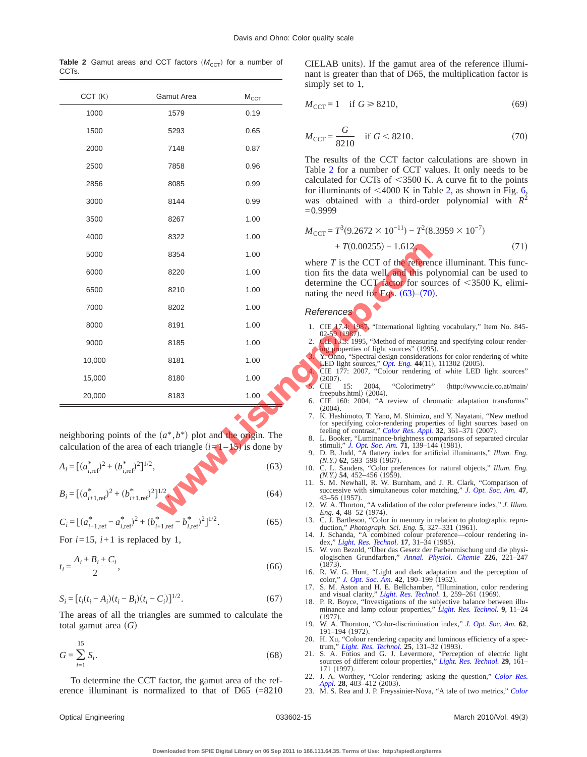<span id="page-14-0"></span>**Table 2** Gamut areas and CCT factors  $(M<sub>CGT</sub>)$  for a number of CCTs.

|                                                                     |                                                                |                  | simply set to 1,                                                                                 |
|---------------------------------------------------------------------|----------------------------------------------------------------|------------------|--------------------------------------------------------------------------------------------------|
| CCT(K)                                                              | <b>Gamut Area</b>                                              | M <sub>CCT</sub> | $M_{\text{CCT}} = 1$ if $G \ge 8210$ ,                                                           |
| 1000                                                                | 1579                                                           | 0.19             |                                                                                                  |
| 1500                                                                | 5293                                                           | 0.65             | $M_{\text{CCT}} = \frac{G}{8210}$ if $G < 8210$ .                                                |
| 2000                                                                | 7148                                                           | 0.87             |                                                                                                  |
| 2500                                                                | 7858                                                           | 0.96             | The results of the CCT factor c<br>Table 2 for a number of CCT va                                |
| 2856                                                                | 8085                                                           | 0.99             | calculated for CCTs of <3500 K<br>for illuminants of $\leq 4000$ K in Ta                         |
| 3000                                                                | 8144                                                           | 0.99             | was obtained with a third-ord                                                                    |
| 3500                                                                | 8267                                                           | 1.00             | $= 0.9999$                                                                                       |
| 4000                                                                | 8322                                                           | 1.00             | $M_{CCT} = T^3(9.2672 \times 10^{-11}) - T^2(8)$                                                 |
| 5000                                                                | 8354                                                           | 1.00             | $+T(0.00255)-1.612$                                                                              |
| 6000                                                                | 8220                                                           | 1.00             | where $T$ is the CCT of the referent                                                             |
|                                                                     |                                                                |                  | tion fits the data well, and this po<br>determine the CCT factor for sou                         |
| 6500                                                                | 8210                                                           | 1.00             | nating the need for Eqs. $(63)$ – $(70)$                                                         |
| 7000                                                                | 8202                                                           | 1.00             | <b>References</b>                                                                                |
| 8000                                                                | 8191                                                           | 1.00             | 1. CIE 17.4: 1987, "International lighti<br>$02-59(1987)$ .                                      |
| 9000                                                                | 8185                                                           | 1.00             | 2. CIE 13.3: 1995, "Method of measuring<br>ing properties of light sources" (199                 |
| 10,000                                                              | 8181                                                           | 1.00             | Y. Ohno, "Spectral design considerati<br>LED light sources," Opt. Eng. 44(11)                    |
| 15,000                                                              | 8180                                                           | 1.00             | CIE 177: 2007, "Colour rendering<br>(2007).                                                      |
| 20,000                                                              | 8183                                                           | 1.00             | "Colorimetry<br><b>CIE</b><br>15:<br>2004,<br>freepubs.html $(2004)$ .                           |
|                                                                     |                                                                |                  | 6. CIE 160: 2004, "A review of chi<br>(2004).                                                    |
|                                                                     |                                                                |                  | 7. K. Hashimoto, T. Yano, M. Shimizu,<br>for specifying color-rendering prope                    |
|                                                                     | neighboring points of the $(a^*,b^*)$ plot and the origin. The |                  | feeling of contrast," Color Res. Appl<br>8. L. Booker, "Luminance-brightness co                  |
|                                                                     | calculation of the area of each triangle $(i=1-15)$ is done by |                  | stimuli," <i>J. Opt. Soc. Am.</i> <b>71</b> , 139–14<br>9. D. B. Judd, "A flattery index for art |
| $A_i = [(a_{i,\text{ref}}^*)^2 + (b_{i,\text{ref}}^*)^2]^{1/2},$    |                                                                | (63)             | $(N.Y.)$ 62, 593–598 (1967).<br>10. C. L. Sanders, "Color preferences fo                         |
|                                                                     |                                                                |                  | $(N.Y.)$ 54, 452-456 (1959).<br>11. S. M. Newhall, R. W. Burnham, an                             |
| $B_i = [(a_{i+1,\text{ref}}^*)^2 + (b_{i+1,\text{ref}}^*)^2]^{1/2}$ |                                                                | (64)             | successive with simultaneous color r<br>43–56 (1957).                                            |
|                                                                     |                                                                |                  | 12. W. A. Thorton, "A validation of the c                                                        |
|                                                                     | $\lambda = 3k$                                                 |                  | <i>Eng.</i> 4, $48-52$ (1974).<br>$C$ I D at $\sim$ 60 i.e.                                      |

$$
A_i = [(a_{i,\text{ref}}^*)^2 + (b_{i,\text{ref}}^*)^2]^{1/2},\tag{63}
$$

$$
B_i = [(a_{i+1, \text{ref}}^*)^2 + (b_{i+1, \text{ref}}^*)^2]^{1/2}
$$
\n(64)

$$
C_i = \left[ (a_{i+1, \text{ref}}^* - a_{i, \text{ref}}^*)^2 + (b_{i+1, \text{ref}}^* - b_{i, \text{ref}}^*)^2 \right]^{1/2}.
$$
 (65)

For  $i=15$ ,  $i+1$  is replaced by 1,

$$
t_i = \frac{A_i + B_i + C_i}{2},\tag{66}
$$

$$
S_i = [t_i(t_i - A_i)(t_i - B_i)(t_i - C_i)]^{1/2}.
$$
\n(67)

The areas of all the triangles are summed to calculate the total gamut area *G*-

$$
G = \sum_{i=1}^{15} S_i.
$$
 (68)

To determine the CCT factor, the gamut area of the reference illuminant is normalized to that of D65  $(=8210$ 

CIELAB units). If the gamut area of the reference illuminant is greater than that of D65, the multiplication factor is simply set to 1,

$$
M_{\text{CCT}} = 1 \quad \text{if } G \ge 8210,\tag{69}
$$

$$
M_{\rm CCT} = \frac{G}{8210} \quad \text{if } G < 8210. \tag{70}
$$

The results of the CCT factor calculations are shown in Table 2 for a number of CCT values. It only needs to be calculated for CCTs of  $\leq$ 3500 K. A curve fit to the points for illuminants of  $\leq 4000$  K in Table 2, as shown in Fig. [6,](#page-7-0) was obtained with a third-order polynomial with  $R^2$  $= 0.9999$ 

$$
M_{\text{CCT}} = T^3 (9.2672 \times 10^{-11}) - T^2 (8.3959 \times 10^{-7})
$$
  
+  $T(0.00255) - 1.612$  (71)

where *T* is the CCT of the reference illuminant. This function fits the data well, and this polynomial can be used to determine the CCT factor for sources of  $\leq$ 3500 K, eliminating the need for Eqs.  $(63)$ – $(70)$ .

#### *References*

- 1. CIE 17.4: 1987, "International lighting vocabulary," Item No. 845- 02-59 (1987).
- 2. CIE 13.3: 1995, "Method of measuring and specifying colour render**ing properties of light sources"** (1995).<br>3. Y. Ohno, "Spectral design considerations for color rendering of white
- LED light sources," *Opt. Eng.* 44(11), 111302 (2005).<br>4. CIE 177: 2007, "Colour rendering of white LED light sources"
- $(2007).$ 5. CIE 15: 2004, "Colorimetry" http://www.cie.co.at/main/
- freepubs.html $(2004)$ .
- 6. CIE 160: 2004, "A review of chromatic adaptation transforms"  $(2004).$
- . 7. K. Hashimoto, T. Yano, M. Shimizu, and Y. Nayatani, "New method for specifying color-rendering properties of light sources based on
- feeling of contrast," *Color Res. Appl.* **32**, 361–371 (2007).<br>8. L. Booker, "Luminance-brightness comparisons of separated circular
- stimuli," *J. Opt. Soc. Am.* **71**, 139–144 (1981).<br>
9. D. B. Judd, "A flattery index for artificial illuminants," *Illum. Eng.*<br>
(*N.Y.)* **62**, 593–598 (1967).<br>
10. C. L. Sanders, "Color preferences for natural objects,"
- 
- 11. S. M. Newhall, R. W. Burnham, and J. R. Clark, "Comparison of successive with simultaneous color matching," *[J. Opt. Soc. Am.](http://dx.doi.org/10.1364/JOSA.47.000043)* 47, 43-56 (1957).
- 12. W. A. Thorton, "A validation of the color preference index," *J. Illum.* Eng. 4, 48–52 (1974).<br>13. C. J. Bartleson, "Color in memory in relation to photographic repro-
- duction," *Photograph. Sci. Eng.* 5, 327–331 (1961).
- 14. J. Schanda, "A combined colour preference—colour rendering in-dex," *[Light. Res. Technol.](http://dx.doi.org/10.1177/14771535850170010101)* **17**, 31–34 1985-.
- 15. W. von Bezold, "Über das Gesetz der Farbenmischung und die physiologischen Grundfarben," *[Annal. Physiol. Chemie](http://dx.doi.org/10.1002/andp.18732261004)* **226**, 221–247  $(1873)$
- . 16. R. W. G. Hunt, "Light and dark adaptation and the perception of color," *[J. Opt. Soc. Am.](http://dx.doi.org/10.1364/JOSA.42.000190)* **42**, 190–199 1952-.
- 17. S. M. Aston and H. E. Bellchamber, "Illumination, color rendering and visual clarity," [Light. Res. Technol.](http://dx.doi.org/10.1177/14771535690010040401) 1, 259-261 (1969).
- and visual clarity," *[Light. Res. Technol.](http://dx.doi.org/10.1177/096032717700900102)* **1**, 259–261 (1969).<br>18. P. R. Boyce, "Investigations of the subjective balance between illu-<br>minance and lamp colour properties," *Light. Res. Technol.* **9**, 11–24  $(1977).$
- . 19. W. A. Thornton, "Color-discrimination index," *[J. Opt. Soc. Am.](http://dx.doi.org/10.1364/JOSA.62.000191)* **<sup>62</sup>**, 191–194 1972-
- . 20. H. Xu, "Colour rendering capacity and luminous efficiency of a spec-
- trum," *[Light. Res. Technol.](http://dx.doi.org/10.1177/14771535970290030701)* 25, 131–32 (1993).<br>21. S. A. Fotios and G. J. Levermore, "Perception of electric light<br>sources of different colour properties," *Light. Res. Technol.* 29, 161– 171 (1997).
- . 22. J. A. Worthey, "Color rendering: asking the question," *[Color Res.](http://dx.doi.org/10.1002/col.10193) [Appl.](http://dx.doi.org/10.1002/col.10193)* **28**, 403–412 (2003).
- . 23. M. S. Rea and J. P. Freyssinier-Nova, "A tale of two metrics," *[Color](http://dx.doi.org/10.1002/col.20399)*